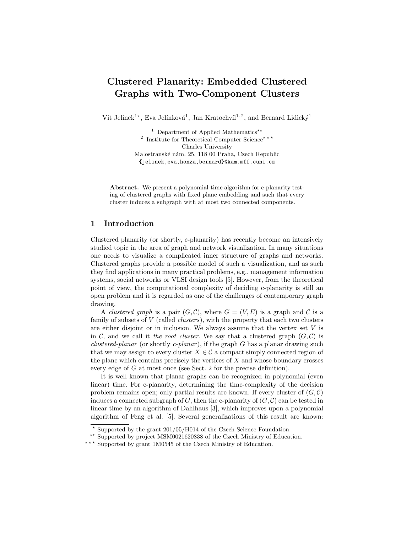# Clustered Planarity: Embedded Clustered Graphs with Two-Component Clusters

Vít Jelínek<sup>1\*</sup>, Eva Jelínková<sup>1</sup>, Jan Kratochvíl<sup>1,2</sup>, and Bernard Lidický<sup>1</sup>

<sup>1</sup> Department of Applied Mathematics<sup>\*\*</sup> <sup>2</sup> Institute for Theoretical Computer Science<sup>\*\*\*</sup> Charles University Malostranské nám. 25, 118 00 Praha, Czech Republic {jelinek,eva,honza,bernard}@kam.mff.cuni.cz

Abstract. We present a polynomial-time algorithm for c-planarity testing of clustered graphs with fixed plane embedding and such that every cluster induces a subgraph with at most two connected components.

# 1 Introduction

Clustered planarity (or shortly, c-planarity) has recently become an intensively studied topic in the area of graph and network visualization. In many situations one needs to visualize a complicated inner structure of graphs and networks. Clustered graphs provide a possible model of such a visualization, and as such they find applications in many practical problems, e.g., management information systems, social networks or VLSI design tools [5]. However, from the theoretical point of view, the computational complexity of deciding c-planarity is still an open problem and it is regarded as one of the challenges of contemporary graph drawing.

A clustered graph is a pair  $(G, \mathcal{C})$ , where  $G = (V, E)$  is a graph and C is a family of subsets of V (called *clusters*), with the property that each two clusters are either disjoint or in inclusion. We always assume that the vertex set  $V$  is in C, and we call it the root cluster. We say that a clustered graph  $(G, C)$  is *clustered-planar* (or shortly *c-planar*), if the graph  $G$  has a planar drawing such that we may assign to every cluster  $X \in \mathcal{C}$  a compact simply connected region of the plane which contains precisely the vertices of  $X$  and whose boundary crosses every edge of G at most once (see Sect. 2 for the precise definition).

It is well known that planar graphs can be recognized in polynomial (even linear) time. For c-planarity, determining the time-complexity of the decision problem remains open; only partial results are known. If every cluster of  $(G, \mathcal{C})$ induces a connected subgraph of G, then the c-planarity of  $(G, \mathcal{C})$  can be tested in linear time by an algorithm of Dahlhaus [3], which improves upon a polynomial algorithm of Feng et al. [5]. Several generalizations of this result are known:

 $*$  Supported by the grant  $201/05/H014$  of the Czech Science Foundation.

<sup>\*\*</sup> Supported by project MSM0021620838 of the Czech Ministry of Education.

<sup>\*\*\*</sup> Supported by grant 1M0545 of the Czech Ministry of Education.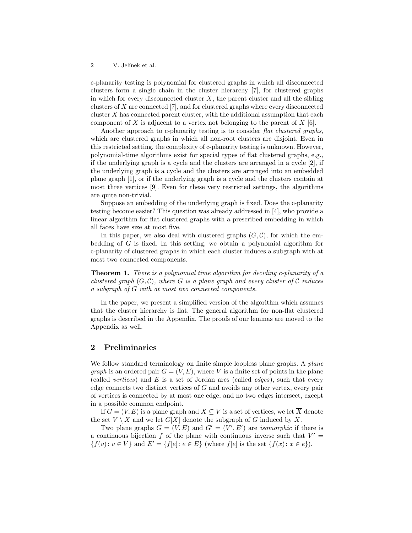c-planarity testing is polynomial for clustered graphs in which all disconnected clusters form a single chain in the cluster hierarchy [7], for clustered graphs in which for every disconnected cluster  $X$ , the parent cluster and all the sibling clusters of  $X$  are connected  $[7]$ , and for clustered graphs where every disconnected cluster  $X$  has connected parent cluster, with the additional assumption that each component of X is adjacent to a vertex not belonging to the parent of  $X$  [6].

Another approach to c-planarity testing is to consider *flat clustered graphs*, which are clustered graphs in which all non-root clusters are disjoint. Even in this restricted setting, the complexity of c-planarity testing is unknown. However, polynomial-time algorithms exist for special types of flat clustered graphs, e.g., if the underlying graph is a cycle and the clusters are arranged in a cycle [2], if the underlying graph is a cycle and the clusters are arranged into an embedded plane graph [1], or if the underlying graph is a cycle and the clusters contain at most three vertices [9]. Even for these very restricted settings, the algorithms are quite non-trivial.

Suppose an embedding of the underlying graph is fixed. Does the c-planarity testing become easier? This question was already addressed in [4], who provide a linear algorithm for flat clustered graphs with a prescribed embedding in which all faces have size at most five.

In this paper, we also deal with clustered graphs  $(G, \mathcal{C})$ , for which the embedding of  $G$  is fixed. In this setting, we obtain a polynomial algorithm for c-planarity of clustered graphs in which each cluster induces a subgraph with at most two connected components.

Theorem 1. There is a polynomial time algorithm for deciding c-planarity of a clustered graph  $(G, \mathcal{C})$ , where G is a plane graph and every cluster of C induces a subgraph of G with at most two connected components.

In the paper, we present a simplified version of the algorithm which assumes that the cluster hierarchy is flat. The general algorithm for non-flat clustered graphs is described in the Appendix. The proofs of our lemmas are moved to the Appendix as well.

## 2 Preliminaries

We follow standard terminology on finite simple loopless plane graphs. A plane *graph* is an ordered pair  $G = (V, E)$ , where V is a finite set of points in the plane (called *vertices*) and E is a set of Jordan arcs (called *edges*), such that every edge connects two distinct vertices of  $G$  and avoids any other vertex, every pair of vertices is connected by at most one edge, and no two edges intersect, except in a possible common endpoint.

If  $G = (V, E)$  is a plane graph and  $X \subseteq V$  is a set of vertices, we let  $\overline{X}$  denote the set  $V \setminus X$  and we let  $G[X]$  denote the subgraph of G induced by X.

Two plane graphs  $G = (V, E)$  and  $G' = (V', E')$  are *isomorphic* if there is a continuous bijection f of the plane with continuous inverse such that  $V' =$  ${f(v): v \in V}$  and  $E' = {f[e]: e \in E}$  (where  $f[e]$  is the set  ${f(x): x \in e}$ ).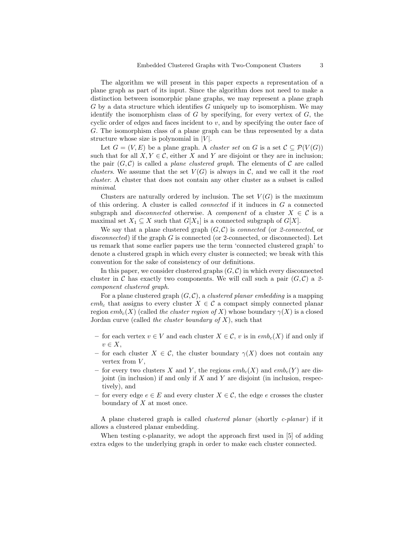The algorithm we will present in this paper expects a representation of a plane graph as part of its input. Since the algorithm does not need to make a distinction between isomorphic plane graphs, we may represent a plane graph  $G$  by a data structure which identifies  $G$  uniquely up to isomorphism. We may identify the isomorphism class of  $G$  by specifying, for every vertex of  $G$ , the cyclic order of edges and faces incident to  $v$ , and by specifying the outer face of G. The isomorphism class of a plane graph can be thus represented by a data structure whose size is polynomial in  $|V|$ .

Let  $G = (V, E)$  be a plane graph. A *cluster set* on G is a set  $\mathcal{C} \subseteq \mathcal{P}(V(G))$ such that for all  $X, Y \in \mathcal{C}$ , either X and Y are disjoint or they are in inclusion; the pair  $(G, \mathcal{C})$  is called a *plane clustered graph*. The elements of  $\mathcal{C}$  are called clusters. We assume that the set  $V(G)$  is always in C, and we call it the root cluster. A cluster that does not contain any other cluster as a subset is called minimal.

Clusters are naturally ordered by inclusion. The set  $V(G)$  is the maximum of this ordering. A cluster is called *connected* if it induces in  $G$  a connected subgraph and *disconnected* otherwise. A *component* of a cluster  $X \in \mathcal{C}$  is a maximal set  $X_1 \subseteq X$  such that  $G[X_1]$  is a connected subgraph of  $G[X]$ .

We say that a plane clustered graph  $(G, \mathcal{C})$  is *connected* (or 2-connected, or disconnected) if the graph  $G$  is connected (or 2-connected, or disconnected). Let us remark that some earlier papers use the term 'connected clustered graph' to denote a clustered graph in which every cluster is connected; we break with this convention for the sake of consistency of our definitions.

In this paper, we consider clustered graphs  $(G, \mathcal{C})$  in which every disconnected cluster in C has exactly two components. We will call such a pair  $(G, \mathcal{C})$  a 2component clustered graph.

For a plane clustered graph  $(G, \mathcal{C})$ , a *clustered planar embedding* is a mapping  $emb_c$  that assigns to every cluster  $X \in \mathcal{C}$  a compact simply connected planar region  $emb_c(X)$  (called the cluster region of X) whose boundary  $\gamma(X)$  is a closed Jordan curve (called the *cluster boundary of X*), such that

- for each vertex  $v \in V$  and each cluster  $X \in \mathcal{C}$ , v is in  $emb_c(X)$  if and only if  $v \in X$ ,
- for each cluster  $X \in \mathcal{C}$ , the cluster boundary  $\gamma(X)$  does not contain any vertex from  $V$ ,
- for every two clusters X and Y, the regions  $emb_c(X)$  and  $emb_c(Y)$  are disjoint (in inclusion) if and only if  $X$  and  $Y$  are disjoint (in inclusion, respectively), and
- for every edge  $e \in E$  and every cluster  $X \in \mathcal{C}$ , the edge  $e$  crosses the cluster boundary of  $X$  at most once.

A plane clustered graph is called *clustered planar* (shortly *c-planar*) if it allows a clustered planar embedding.

When testing c-planarity, we adopt the approach first used in [5] of adding extra edges to the underlying graph in order to make each cluster connected.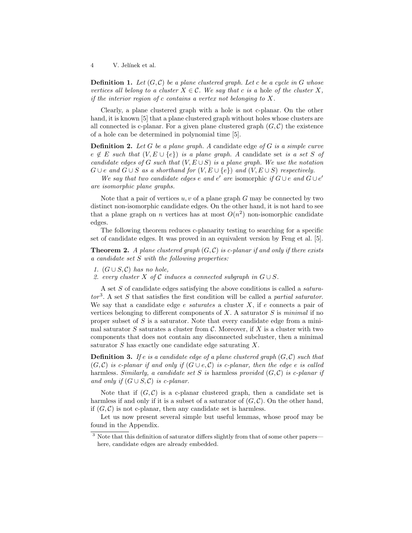**Definition 1.** Let  $(G, \mathcal{C})$  be a plane clustered graph. Let c be a cycle in G whose vertices all belong to a cluster  $X \in \mathcal{C}$ . We say that c is a hole of the cluster X, if the interior region of c contains a vertex not belonging to X.

Clearly, a plane clustered graph with a hole is not c-planar. On the other hand, it is known [5] that a plane clustered graph without holes whose clusters are all connected is c-planar. For a given plane clustered graph  $(G, \mathcal{C})$  the existence of a hole can be determined in polynomial time [5].

**Definition 2.** Let G be a plane graph. A candidate edge of G is a simple curve  $e \notin E$  such that  $(V, E \cup \{e\})$  is a plane graph. A candidate set is a set S of candidate edges of G such that  $(V, E \cup S)$  is a plane graph. We use the notation  $G \cup e$  and  $G \cup S$  as a shorthand for  $(V, E \cup \{e\})$  and  $(V, E \cup S)$  respectively.

We say that two candidate edges e and e' are isomorphic if  $G \cup e$  and  $G \cup e'$ are isomorphic plane graphs.

Note that a pair of vertices  $u, v$  of a plane graph G may be connected by two distinct non-isomorphic candidate edges. On the other hand, it is not hard to see that a plane graph on *n* vertices has at most  $O(n^2)$  non-isomorphic candidate edges.

The following theorem reduces c-planarity testing to searching for a specific set of candidate edges. It was proved in an equivalent version by Feng et al. [5].

**Theorem 2.** A plane clustered graph  $(G, \mathcal{C})$  is c-planar if and only if there exists a candidate set S with the following properties:

- 1.  $(G \cup S, C)$  has no hole,
- 2. every cluster X of C induces a connected subgraph in  $G \cup S$ .

A set S of candidate edges satisfying the above conditions is called a satura $tor<sup>3</sup>$ . A set S that satisfies the first condition will be called a *partial saturator*. We say that a candidate edge e saturates a cluster  $X$ , if e connects a pair of vertices belonging to different components of X. A saturator  $S$  is minimal if no proper subset of  $S$  is a saturator. Note that every candidate edge from a minimal saturator  $S$  saturates a cluster from  $C$ . Moreover, if  $X$  is a cluster with two components that does not contain any disconnected subcluster, then a minimal saturator S has exactly one candidate edge saturating X.

**Definition 3.** If e is a candidate edge of a plane clustered graph  $(G, \mathcal{C})$  such that  $(G, C)$  is c-planar if and only if  $(G \cup e, C)$  is c-planar, then the edge e is called harmless. Similarly, a candidate set S is harmless provided  $(G, \mathcal{C})$  is c-planar if and only if  $(G \cup S, C)$  is c-planar.

Note that if  $(G, \mathcal{C})$  is a c-planar clustered graph, then a candidate set is harmless if and only if it is a subset of a saturator of  $(G, \mathcal{C})$ . On the other hand, if  $(G, \mathcal{C})$  is not c-planar, then any candidate set is harmless.

Let us now present several simple but useful lemmas, whose proof may be found in the Appendix.

<sup>3</sup> Note that this definition of saturator differs slightly from that of some other papers here, candidate edges are already embedded.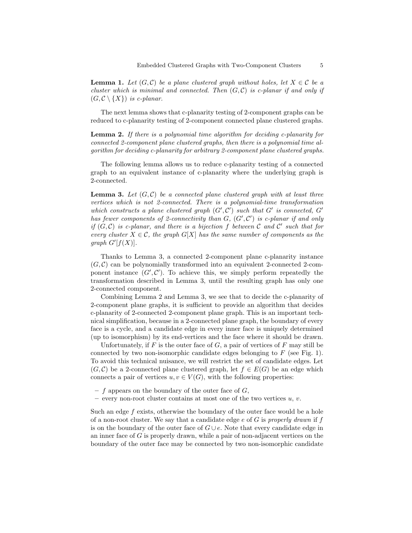**Lemma 1.** Let  $(G, \mathcal{C})$  be a plane clustered graph without holes, let  $X \in \mathcal{C}$  be a cluster which is minimal and connected. Then  $(G, \mathcal{C})$  is c-planar if and only if  $(G, \mathcal{C} \setminus \{X\})$  is c-planar.

The next lemma shows that c-planarity testing of 2-component graphs can be reduced to c-planarity testing of 2-component connected plane clustered graphs.

Lemma 2. If there is a polynomial time algorithm for deciding c-planarity for connected 2-component plane clustered graphs, then there is a polynomial time algorithm for deciding c-planarity for arbitrary 2-component plane clustered graphs.

The following lemma allows us to reduce c-planarity testing of a connected graph to an equivalent instance of c-planarity where the underlying graph is 2-connected.

**Lemma 3.** Let  $(G, C)$  be a connected plane clustered graph with at least three vertices which is not 2-connected. There is a polynomial-time transformation which constructs a plane clustered graph  $(G',\mathcal{C}')$  such that G' is connected, G' has fewer components of 2-connectivity than  $G$ ,  $(G', \mathcal{C}')$  is c-planar if and only if  $(G, \mathcal{C})$  is c-planar, and there is a bijection f between  $\mathcal C$  and  $\mathcal C'$  such that for every cluster  $X \in \mathcal{C}$ , the graph  $G[X]$  has the same number of components as the graph  $G'[f(X)]$ .

Thanks to Lemma 3, a connected 2-component plane c-planarity instance  $(G, \mathcal{C})$  can be polynomially transformed into an equivalent 2-connected 2-component instance  $(G', \mathcal{C}')$ . To achieve this, we simply perform repeatedly the transformation described in Lemma 3, until the resulting graph has only one 2-connected component.

Combining Lemma 2 and Lemma 3, we see that to decide the c-planarity of 2-component plane graphs, it is sufficient to provide an algorithm that decides c-planarity of 2-connected 2-component plane graph. This is an important technical simplification, because in a 2-connected plane graph, the boundary of every face is a cycle, and a candidate edge in every inner face is uniquely determined (up to isomorphism) by its end-vertices and the face where it should be drawn.

Unfortunately, if  $F$  is the outer face of  $G$ , a pair of vertices of  $F$  may still be connected by two non-isomorphic candidate edges belonging to  $F$  (see Fig. 1). To avoid this technical nuisance, we will restrict the set of candidate edges. Let  $(G, \mathcal{C})$  be a 2-connected plane clustered graph, let  $f \in E(G)$  be an edge which connects a pair of vertices  $u, v \in V(G)$ , with the following properties:

- $f$  appears on the boundary of the outer face of  $G$ ,
- every non-root cluster contains at most one of the two vertices  $u, v$ .

Such an edge f exists, otherwise the boundary of the outer face would be a hole of a non-root cluster. We say that a candidate edge  $e$  of  $G$  is properly drawn if f is on the boundary of the outer face of  $G \cup e$ . Note that every candidate edge in an inner face of G is properly drawn, while a pair of non-adjacent vertices on the boundary of the outer face may be connected by two non-isomorphic candidate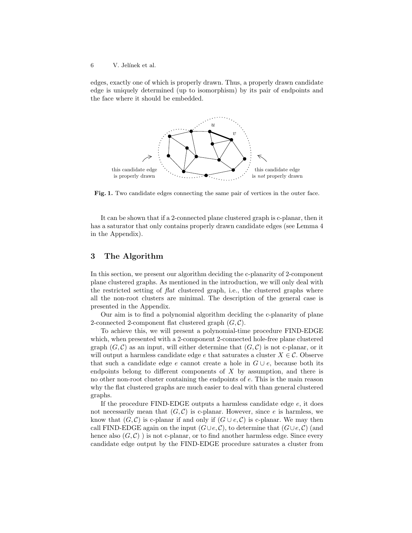edges, exactly one of which is properly drawn. Thus, a properly drawn candidate edge is uniquely determined (up to isomorphism) by its pair of endpoints and the face where it should be embedded.



Fig. 1. Two candidate edges connecting the same pair of vertices in the outer face.

It can be shown that if a 2-connected plane clustered graph is c-planar, then it has a saturator that only contains properly drawn candidate edges (see Lemma 4 in the Appendix).

# 3 The Algorithm

In this section, we present our algorithm deciding the c-planarity of 2-component plane clustered graphs. As mentioned in the introduction, we will only deal with the restricted setting of flat clustered graph, i.e., the clustered graphs where all the non-root clusters are minimal. The description of the general case is presented in the Appendix.

Our aim is to find a polynomial algorithm deciding the c-planarity of plane 2-connected 2-component flat clustered graph  $(G, \mathcal{C})$ .

To achieve this, we will present a polynomial-time procedure FIND-EDGE which, when presented with a 2-component 2-connected hole-free plane clustered graph  $(G, \mathcal{C})$  as an input, will either determine that  $(G, \mathcal{C})$  is not c-planar, or it will output a harmless candidate edge e that saturates a cluster  $X \in \mathcal{C}$ . Observe that such a candidate edge e cannot create a hole in  $G \cup e$ , because both its endpoints belong to different components of  $X$  by assumption, and there is no other non-root cluster containing the endpoints of e. This is the main reason why the flat clustered graphs are much easier to deal with than general clustered graphs.

If the procedure FIND-EDGE outputs a harmless candidate edge  $e$ , it does not necessarily mean that  $(G, \mathcal{C})$  is c-planar. However, since e is harmless, we know that  $(G, C)$  is c-planar if and only if  $(G \cup e, C)$  is c-planar. We may then call FIND-EDGE again on the input  $(G\cup e, C)$ , to determine that  $(G\cup e, C)$  (and hence also  $(G, \mathcal{C})$  is not c-planar, or to find another harmless edge. Since every candidate edge output by the FIND-EDGE procedure saturates a cluster from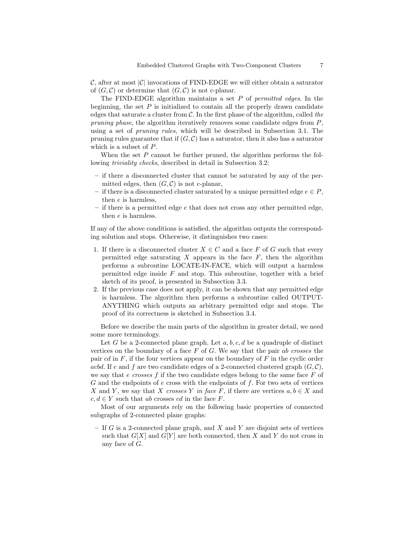C, after at most  $|\mathcal{C}|$  invocations of FIND-EDGE we will either obtain a saturator of  $(G, \mathcal{C})$  or determine that  $(G, \mathcal{C})$  is not c-planar.

The FIND-EDGE algorithm maintains a set  $P$  of *permitted edges*. In the beginning, the set  $P$  is initialized to contain all the properly drawn candidate edges that saturate a cluster from  $C$ . In the first phase of the algorithm, called the pruning phase, the algorithm iteratively removes some candidate edges from P, using a set of pruning rules, which will be described in Subsection 3.1. The pruning rules guarantee that if  $(G, \mathcal{C})$  has a saturator, then it also has a saturator which is a subset of P.

When the set  $P$  cannot be further pruned, the algorithm performs the following triviality checks, described in detail in Subsection 3.2:

- if there a disconnected cluster that cannot be saturated by any of the permitted edges, then  $(G, \mathcal{C})$  is not c-planar,
- if there is a disconnected cluster saturated by a unique permitted edge  $e \in P$ , then e is harmless,
- $-$  if there is a permitted edge  $e$  that does not cross any other permitted edge, then  $e$  is harmless.

If any of the above conditions is satisfied, the algorithm outputs the corresponding solution and stops. Otherwise, it distinguishes two cases:

- 1. If there is a disconnected cluster  $X \in C$  and a face F of G such that every permitted edge saturating X appears in the face  $F$ , then the algorithm performs a subroutine LOCATE-IN-FACE, which will output a harmless permitted edge inside  $F$  and stop. This subroutine, together with a brief sketch of its proof, is presented in Subsection 3.3.
- 2. If the previous case does not apply, it can be shown that any permitted edge is harmless. The algorithm then performs a subroutine called OUTPUT-ANYTHING which outputs an arbitrary permitted edge and stops. The proof of its correctness is sketched in Subsection 3.4.

Before we describe the main parts of the algorithm in greater detail, we need some more terminology.

Let G be a 2-connected plane graph. Let  $a, b, c, d$  be a quadruple of distinct vertices on the boundary of a face  $F$  of  $G$ . We say that the pair  $ab$  crosses the pair cd in  $F$ , if the four vertices appear on the boundary of  $F$  in the cyclic order acbd. If e and f are two candidate edges of a 2-connected clustered graph  $(G, \mathcal{C})$ , we say that e crosses f if the two candidate edges belong to the same face  $F$  of  $G$  and the endpoints of  $e$  cross with the endpoints of  $f$ . For two sets of vertices X and Y, we say that X crosses Y in face F, if there are vertices  $a, b \in X$  and  $c, d \in Y$  such that ab crosses cd in the face F.

Most of our arguments rely on the following basic properties of connected subgraphs of 2-connected plane graphs:

– If G is a 2-connected plane graph, and X and Y are disjoint sets of vertices such that  $G[X]$  and  $G[Y]$  are both connected, then X and Y do not cross in any face of G.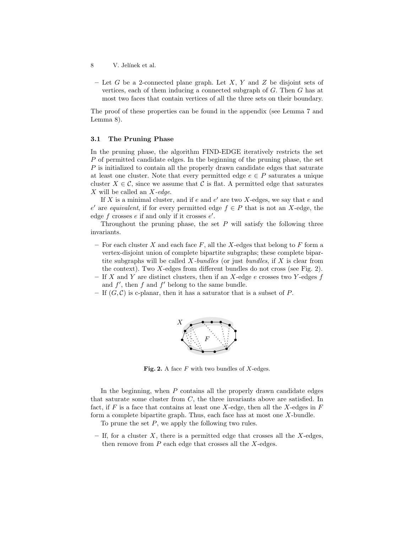- 8 V. Jelínek et al.
- Let G be a 2-connected plane graph. Let X, Y and Z be disjoint sets of vertices, each of them inducing a connected subgraph of G. Then G has at most two faces that contain vertices of all the three sets on their boundary.

The proof of these properties can be found in the appendix (see Lemma 7 and Lemma 8).

## 3.1 The Pruning Phase

In the pruning phase, the algorithm FIND-EDGE iteratively restricts the set P of permitted candidate edges. In the beginning of the pruning phase, the set P is initialized to contain all the properly drawn candidate edges that saturate at least one cluster. Note that every permitted edge  $e \in P$  saturates a unique cluster  $X \in \mathcal{C}$ , since we assume that  $\mathcal{C}$  is flat. A permitted edge that saturates  $X$  will be called an  $X$ -edge.

If X is a minimal cluster, and if e and  $e'$  are two X-edges, we say that e and e' are equivalent, if for every permitted edge  $f \in P$  that is not an X-edge, the edge  $f$  crosses  $e$  if and only if it crosses  $e'$ .

Throughout the pruning phase, the set  $P$  will satisfy the following three invariants.

- For each cluster X and each face  $F$ , all the X-edges that belong to  $F$  form a vertex-disjoint union of complete bipartite subgraphs; these complete bipartite subgraphs will be called  $X$ -bundles (or just bundles, if  $X$  is clear from the context). Two  $X$ -edges from different bundles do not cross (see Fig. 2).
- If X and Y are distinct clusters, then if an X-edge  $e$  crosses two Y-edges f and  $f'$ , then f and  $f'$  belong to the same bundle.
- If  $(G, \mathcal{C})$  is c-planar, then it has a saturator that is a subset of P.



Fig. 2. A face  $F$  with two bundles of  $X$ -edges.

In the beginning, when  $P$  contains all the properly drawn candidate edges that saturate some cluster from C, the three invariants above are satisfied. In fact, if  $F$  is a face that contains at least one  $X$ -edge, then all the  $X$ -edges in  $F$ form a complete bipartite graph. Thus, each face has at most one X-bundle.

To prune the set  $P$ , we apply the following two rules.

 $-$  If, for a cluster X, there is a permitted edge that crosses all the X-edges, then remove from  $P$  each edge that crosses all the  $X$ -edges.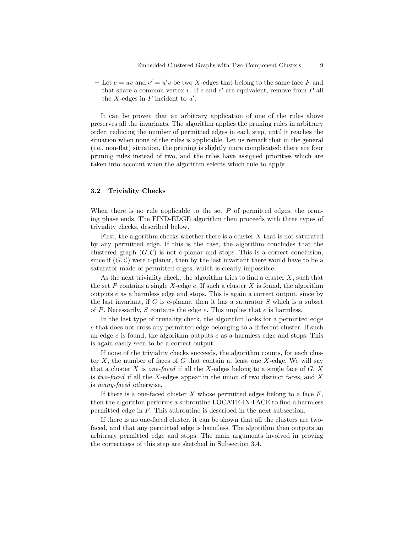- Let  $e = uv$  and  $e' = u'v$  be two X-edges that belong to the same face F and that share a common vertex  $v$ . If  $e$  and  $e'$  are equivalent, remove from  $P$  all the X-edges in  $F$  incident to  $u'$ .

It can be proven that an arbitrary application of one of the rules above preserves all the invariants. The algorithm applies the pruning rules in arbitrary order, reducing the number of permitted edges in each step, until it reaches the situation when none of the rules is applicable. Let us remark that in the general (i.e., non-flat) situation, the pruning is slightly more complicated: there are four pruning rules instead of two, and the rules have assigned priorities which are taken into account when the algorithm selects which rule to apply.

#### 3.2 Triviality Checks

When there is no rule applicable to the set  $P$  of permitted edges, the pruning phase ends. The FIND-EDGE algorithm then proceeds with three types of triviality checks, described below.

First, the algorithm checks whether there is a cluster  $X$  that is not saturated by any permitted edge. If this is the case, the algorithm concludes that the clustered graph  $(G, \mathcal{C})$  is not c-planar and stops. This is a correct conclusion, since if  $(G, \mathcal{C})$  were c-planar, then by the last invariant there would have to be a saturator made of permitted edges, which is clearly impossible.

As the next triviality check, the algorithm tries to find a cluster  $X$ , such that the set P contains a single X-edge  $e$ . If such a cluster X is found, the algorithm outputs e as a harmless edge and stops. This is again a correct output, since by the last invariant, if G is c-planar, then it has a saturator  $S$  which is a subset of  $P$ . Necessarily,  $S$  contains the edge  $e$ . This implies that  $e$  is harmless.

In the last type of triviality check, the algorithm looks for a permitted edge e that does not cross any permitted edge belonging to a different cluster. If such an edge  $e$  is found, the algorithm outputs  $e$  as a harmless edge and stops. This is again easily seen to be a correct output.

If none of the triviality checks succeeds, the algorithm counts, for each cluster  $X$ , the number of faces of  $G$  that contain at least one  $X$ -edge. We will say that a cluster X is one-faced if all the X-edges belong to a single face of  $G, X$ is two-faced if all the X-edges appear in the union of two distinct faces, and X is many-faced otherwise.

If there is a one-faced cluster X whose permitted edges belong to a face  $F$ , then the algorithm performs a subroutine LOCATE-IN-FACE to find a harmless permitted edge in F. This subroutine is described in the next subsection.

If there is no one-faced cluster, it can be shown that all the clusters are twofaced, and that any permitted edge is harmless. The algorithm then outputs an arbitrary permitted edge and stops. The main arguments involved in proving the correctness of this step are sketched in Subsection 3.4.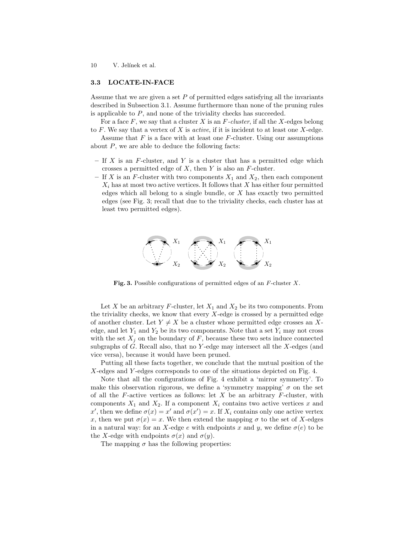#### 3.3 LOCATE-IN-FACE

Assume that we are given a set P of permitted edges satisfying all the invariants described in Subsection 3.1. Assume furthermore than none of the pruning rules is applicable to P, and none of the triviality checks has succeeded.

For a face  $F$ , we say that a cluster  $X$  is an  $F$ -cluster, if all the  $X$ -edges belong to  $F$ . We say that a vertex of  $X$  is *active*, if it is incident to at least one  $X$ -edge.

Assume that  $F$  is a face with at least one  $F$ -cluster. Using our assumptions about  $P$ , we are able to deduce the following facts:

- If X is an  $F$ -cluster, and Y is a cluster that has a permitted edge which crosses a permitted edge of  $X$ , then  $Y$  is also an  $F$ -cluster.
- If X is an F-cluster with two components  $X_1$  and  $X_2$ , then each component  $X_i$  has at most two active vertices. It follows that X has either four permitted edges which all belong to a single bundle, or  $X$  has exactly two permitted edges (see Fig. 3; recall that due to the triviality checks, each cluster has at least two permitted edges).



Fig. 3. Possible configurations of permitted edges of an  $F$ -cluster  $X$ .

Let X be an arbitrary F-cluster, let  $X_1$  and  $X_2$  be its two components. From the triviality checks, we know that every  $X$ -edge is crossed by a permitted edge of another cluster. Let  $Y \neq X$  be a cluster whose permitted edge crosses an Xedge, and let  $Y_1$  and  $Y_2$  be its two components. Note that a set  $Y_i$  may not cross with the set  $X_i$  on the boundary of F, because these two sets induce connected subgraphs of  $G$ . Recall also, that no  $Y$ -edge may intersect all the  $X$ -edges (and vice versa), because it would have been pruned.

Putting all these facts together, we conclude that the mutual position of the X-edges and Y -edges corresponds to one of the situations depicted on Fig. 4.

Note that all the configurations of Fig. 4 exhibit a 'mirror symmetry'. To make this observation rigorous, we define a 'symmetry mapping'  $\sigma$  on the set of all the  $F$ -active vertices as follows: let  $X$  be an arbitrary  $F$ -cluster, with components  $X_1$  and  $X_2$ . If a component  $X_i$  contains two active vertices x and x', then we define  $\sigma(x) = x'$  and  $\sigma(x') = x$ . If  $X_i$  contains only one active vertex x, then we put  $\sigma(x) = x$ . We then extend the mapping  $\sigma$  to the set of X-edges in a natural way: for an X-edge e with endpoints x and y, we define  $\sigma(e)$  to be the X-edge with endpoints  $\sigma(x)$  and  $\sigma(y)$ .

The mapping  $\sigma$  has the following properties: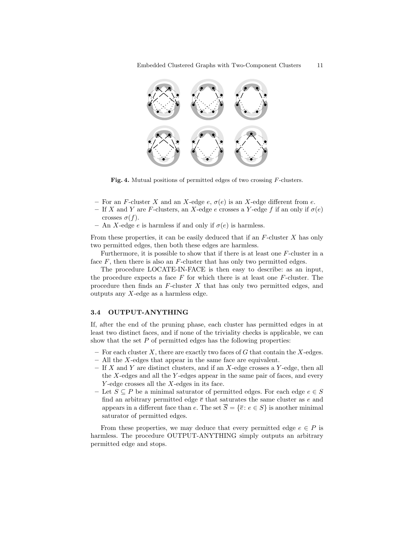

Fig. 4. Mutual positions of permitted edges of two crossing F-clusters.

- For an F-cluster X and an X-edge e,  $\sigma(e)$  is an X-edge different from e.
- If X and Y are F-clusters, an X-edge e crosses a Y-edge f if an only if  $\sigma(e)$ crosses  $\sigma(f)$ .
- An X-edge e is harmless if and only if  $\sigma(e)$  is harmless.

From these properties, it can be easily deduced that if an  $F$ -cluster  $X$  has only two permitted edges, then both these edges are harmless.

Furthermore, it is possible to show that if there is at least one F-cluster in a face  $F$ , then there is also an  $F$ -cluster that has only two permitted edges.

The procedure LOCATE-IN-FACE is then easy to describe: as an input, the procedure expects a face  $F$  for which there is at least one  $F$ -cluster. The procedure then finds an  $F$ -cluster  $X$  that has only two permitted edges, and outputs any  $X$ -edge as a harmless edge.

#### 3.4 OUTPUT-ANYTHING

If, after the end of the pruning phase, each cluster has permitted edges in at least two distinct faces, and if none of the triviality checks is applicable, we can show that the set  $P$  of permitted edges has the following properties:

- For each cluster  $X$ , there are exactly two faces of  $G$  that contain the  $X$ -edges.
- All the X-edges that appear in the same face are equivalent.
- If X and Y are distinct clusters, and if an X-edge crosses a Y-edge, then all the  $X$ -edges and all the  $Y$ -edges appear in the same pair of faces, and every Y-edge crosses all the X-edges in its face.
- Let  $S \subseteq P$  be a minimal saturator of permitted edges. For each edge  $e \in S$ find an arbitrary permitted edge  $\bar{e}$  that saturates the same cluster as e and appears in a different face than e. The set  $\overline{S} = {\overline{e}: e \in S}$  is another minimal saturator of permitted edges.

From these properties, we may deduce that every permitted edge  $e \in P$  is harmless. The procedure OUTPUT-ANYTHING simply outputs an arbitrary permitted edge and stops.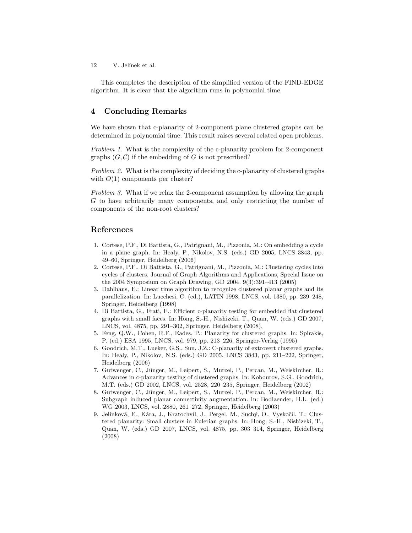This completes the description of the simplified version of the FIND-EDGE algorithm. It is clear that the algorithm runs in polynomial time.

# 4 Concluding Remarks

We have shown that c-planarity of 2-component plane clustered graphs can be determined in polynomial time. This result raises several related open problems.

Problem 1. What is the complexity of the c-planarity problem for 2-component graphs  $(G, \mathcal{C})$  if the embedding of G is not prescribed?

Problem 2. What is the complexity of deciding the c-planarity of clustered graphs with  $O(1)$  components per cluster?

Problem 3. What if we relax the 2-component assumption by allowing the graph G to have arbitrarily many components, and only restricting the number of components of the non-root clusters?

# References

- 1. Cortese, P.F., Di Battista, G., Patrignani, M., Pizzonia, M.: On embedding a cycle in a plane graph. In: Healy, P., Nikolov, N.S. (eds.) GD 2005, LNCS 3843, pp. 49–60, Springer, Heidelberg (2006)
- 2. Cortese, P.F., Di Battista, G., Patrignani, M., Pizzonia, M.: Clustering cycles into cycles of clusters. Journal of Graph Algorithms and Applications, Special Issue on the 2004 Symposium on Graph Drawing, GD 2004. 9(3):391–413 (2005)
- 3. Dahlhaus, E.: Linear time algorithm to recognize clustered planar graphs and its parallelization. In: Lucchesi, C. (ed.), LATIN 1998, LNCS, vol. 1380, pp. 239–248, Springer, Heidelberg (1998)
- 4. Di Battista, G., Frati, F.: Efficient c-planarity testing for embedded flat clustered graphs with small faces. In: Hong, S.-H., Nishizeki, T., Quan, W. (eds.) GD 2007, LNCS, vol. 4875, pp. 291–302, Springer, Heidelberg (2008).
- 5. Feng, Q.W., Cohen, R.F., Eades, P.: Planarity for clustered graphs. In: Spirakis, P. (ed.) ESA 1995, LNCS, vol. 979, pp. 213–226, Springer-Verlag (1995)
- 6. Goodrich, M.T., Lueker, G.S., Sun, J.Z.: C-planarity of extrovert clustered graphs. In: Healy, P., Nikolov, N.S. (eds.) GD 2005, LNCS 3843, pp. 211–222, Springer, Heidelberg (2006)
- 7. Gutwenger, C., Jünger, M., Leipert, S., Mutzel, P., Percan, M., Weiskircher, R.: Advances in c-planarity testing of clustered graphs. In: Kobourov, S.G., Goodrich, M.T. (eds.) GD 2002, LNCS, vol. 2528, 220–235, Springer, Heidelberg (2002)
- 8. Gutwenger, C., Jünger, M., Leipert, S., Mutzel, P., Percan, M., Weiskircher, R.: Subgraph induced planar connectivity augmentation. In: Bodlaender, H.L. (ed.) WG 2003, LNCS, vol. 2880, 261–272, Springer, Heidelberg (2003)
- 9. Jelínková, E., Kára, J., Kratochvíl, J., Pergel, M., Suchý, O., Vyskočil, T.: Clustered planarity: Small clusters in Eulerian graphs. In: Hong, S.-H., Nishizeki, T., Quan, W. (eds.) GD 2007, LNCS, vol. 4875, pp. 303–314, Springer, Heidelberg (2008)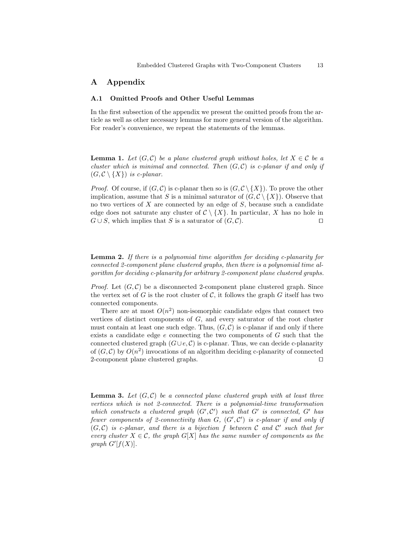## A Appendix

#### A.1 Omitted Proofs and Other Useful Lemmas

In the first subsection of the appendix we present the omitted proofs from the article as well as other necessary lemmas for more general version of the algorithm. For reader's convenience, we repeat the statements of the lemmas.

**Lemma 1.** Let  $(G, \mathcal{C})$  be a plane clustered graph without holes, let  $X \in \mathcal{C}$  be a cluster which is minimal and connected. Then  $(G, \mathcal{C})$  is c-planar if and only if  $(G, \mathcal{C} \setminus \{X\})$  is c-planar.

*Proof.* Of course, if  $(G, \mathcal{C})$  is c-planar then so is  $(G, \mathcal{C} \setminus \{X\})$ . To prove the other implication, assume that S is a minimal saturator of  $(G, \mathcal{C} \setminus \{X\})$ . Observe that no two vertices of  $X$  are connected by an edge of  $S$ , because such a candidate edge does not saturate any cluster of  $C \setminus \{X\}$ . In particular, X has no hole in  $G \cup S$ , which implies that S is a saturator of  $(G, C)$ .

Lemma 2. If there is a polynomial time algorithm for deciding c-planarity for connected 2-component plane clustered graphs, then there is a polynomial time algorithm for deciding c-planarity for arbitrary 2-component plane clustered graphs.

*Proof.* Let  $(G, \mathcal{C})$  be a disconnected 2-component plane clustered graph. Since the vertex set of G is the root cluster of C, it follows the graph G itself has two connected components.

There are at most  $O(n^2)$  non-isomorphic candidate edges that connect two vertices of distinct components of G, and every saturator of the root cluster must contain at least one such edge. Thus,  $(G, \mathcal{C})$  is c-planar if and only if there exists a candidate edge  $e$  connecting the two components of  $G$  such that the connected clustered graph  $(G \cup e, C)$  is c-planar. Thus, we can decide c-planarity of  $(G, \mathcal{C})$  by  $O(n^2)$  invocations of an algorithm deciding c-planarity of connected 2-component plane clustered graphs.  $\square$ 

**Lemma 3.** Let  $(G, C)$  be a connected plane clustered graph with at least three vertices which is not 2-connected. There is a polynomial-time transformation which constructs a clustered graph  $(G',\mathcal{C}')$  such that G' is connected, G' has fewer components of 2-connectivity than  $G$ ,  $(G', \mathcal{C}')$  is c-planar if and only if  $(G, \mathcal{C})$  is c-planar, and there is a bijection f between  $\mathcal C$  and  $\mathcal C'$  such that for every cluster  $X \in \mathcal{C}$ , the graph  $G[X]$  has the same number of components as the graph  $G'[f(X)]$ .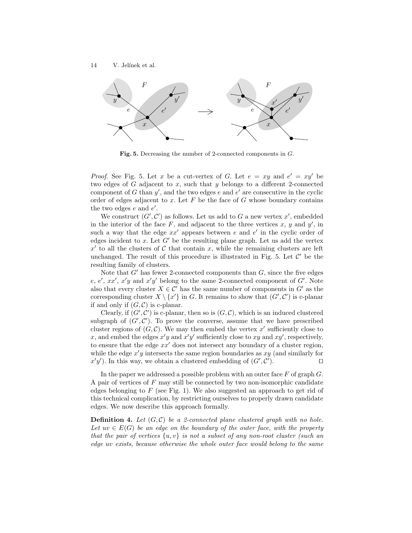

Fig. 5. Decreasing the number of 2-connected components in G.

*Proof.* See Fig. 5. Let x be a cut-vertex of G. Let  $e = xy$  and  $e' = xy'$  be two edges of  $G$  adjacent to  $x$ , such that  $y$  belongs to a different 2-connected component of G than  $y'$ , and the two edges e and  $e'$  are consecutive in the cyclic order of edges adjacent to  $x$ . Let  $F$  be the face of  $G$  whose boundary contains the two edges  $e$  and  $e'$ .

We construct  $(G',\mathcal{C}')$  as follows. Let us add to G a new vertex  $x'$ , embedded in the interior of the face  $F$ , and adjacent to the three vertices  $x, y$  and  $y'$ , in such a way that the edge  $xx'$  appears between e and e' in the cyclic order of edges incident to x. Let  $G'$  be the resulting plane graph. Let us add the vertex  $x'$  to all the clusters of C that contain x, while the remaining clusters are left unchanged. The result of this procedure is illustrated in Fig. 5. Let  $\mathcal{C}'$  be the resulting family of clusters.

Note that  $G'$  has fewer 2-connected components than  $G$ , since the five edges  $e, e', xx', x'y$  and  $x'y'$  belong to the same 2-connected component of G'. Note also that every cluster  $X \in \mathcal{C}'$  has the same number of components in  $G'$  as the corresponding cluster  $X \setminus \{x'\}$  in G. It remains to show that  $(G', \mathcal{C}')$  is c-planar if and only if  $(G, \mathcal{C})$  is c-planar.

Clearly, if  $(G', \mathcal{C}')$  is c-planar, then so is  $(G, \mathcal{C})$ , which is an induced clustered subgraph of  $(G', \mathcal{C}')$ . To prove the converse, assume that we have prescribed cluster regions of  $(G, \mathcal{C})$ . We may then embed the vertex x' sufficiently close to x, and embed the edges  $x'y$  and  $x'y'$  sufficiently close to xy and  $xy'$ , respectively, to ensure that the edge  $xx'$  does not intersect any boundary of a cluster region, while the edge  $x'y$  intersects the same region boundaries as  $xy$  (and similarly for  $x'y'$ ). In this way, we obtain a clustered embedding of  $(G', \mathcal{C}')$ ).  $\qquad \qquad \Box$ 

In the paper we addressed a possible problem with an outer face  $F$  of graph  $G$ . A pair of vertices of  $F$  may still be connected by two non-isomorphic candidate edges belonging to  $F$  (see Fig. 1). We also suggested an approach to get rid of this technical complication, by restricting ourselves to properly drawn candidate edges. We now describe this approach formally.

**Definition 4.** Let  $(G, C)$  be a 2-connected plane clustered graph with no hole. Let  $uv \in E(G)$  be an edge on the boundary of the outer face, with the property that the pair of vertices  $\{u, v\}$  is not a subset of any non-root cluster (such an edge uv exists, because otherwise the whole outer face would belong to the same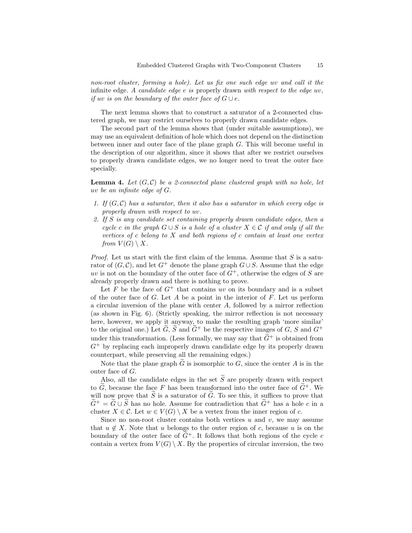non-root cluster, forming a hole). Let us fix one such edge uv and call it the infinite edge. A candidate edge  $e$  is properly drawn with respect to the edge  $uv$ , if uv is on the boundary of the outer face of  $G \cup e$ .

The next lemma shows that to construct a saturator of a 2-connected clustered graph, we may restrict ourselves to properly drawn candidate edges.

The second part of the lemma shows that (under suitable assumptions), we may use an equivalent definition of hole which does not depend on the distinction between inner and outer face of the plane graph G. This will become useful in the description of our algorithm, since it shows that after we restrict ourselves to properly drawn candidate edges, we no longer need to treat the outer face specially.

**Lemma 4.** Let  $(G, C)$  be a 2-connected plane clustered graph with no hole, let uv be an infinite edge of G.

- 1. If  $(G, \mathcal{C})$  has a saturator, then it also has a saturator in which every edge is properly drawn with respect to uv.
- 2. If S is any candidate set containing properly drawn candidate edges, then a cycle c in the graph  $G \cup S$  is a hole of a cluster  $X \in \mathcal{C}$  if and only if all the vertices of  $c$  belong to  $X$  and both regions of  $c$  contain at least one vertex from  $V(G) \setminus X$ .

*Proof.* Let us start with the first claim of the lemma. Assume that  $S$  is a saturator of  $(G, \mathcal{C})$ , and let  $G^+$  denote the plane graph  $G \cup S$ . Assume that the edge uv is not on the boundary of the outer face of  $G^+$ , otherwise the edges of S are already properly drawn and there is nothing to prove.

Let F be the face of  $G^+$  that contains uv on its boundary and is a subset of the outer face of  $G$ . Let  $A$  be a point in the interior of  $F$ . Let us perform a circular inversion of the plane with center A, followed by a mirror reflection (as shown in Fig. 6). (Strictly speaking, the mirror reflection is not necessary here, however, we apply it anyway, to make the resulting graph 'more similar' to the original one.) Let  $\tilde{G}$ ,  $\tilde{S}$  and  $\tilde{G}^+$  be the respective images of G, S and  $G^+$ under this transformation. (Less formally, we may say that  $\widetilde{G}^+$  is obtained from  $G^+$  by replacing each improperly drawn candidate edge by its properly drawn counterpart, while preserving all the remaining edges.)

Note that the plane graph  $\tilde{G}$  is isomorphic to  $G$ , since the center A is in the outer face of G.

Also, all the candidate edges in the set  $\tilde{S}$  are properly drawn with respect to G, because the face F has been transformed into the outer face of  $\tilde{G}^+$ . We will now prove that  $\tilde{S}$  is a saturator of  $\tilde{G}$ . To see this, it suffices to prove that  $\widetilde{G}^+ = \widetilde{G} \cup \widetilde{S}$  has no hole. Assume for contradiction that  $\widetilde{G}^+$  has a hole c in a cluster  $X \in \mathcal{C}$ . Let  $w \in V(G) \setminus X$  be a vertex from the inner region of c.

Since no non-root cluster contains both vertices  $u$  and  $v$ , we may assume that  $u \notin X$ . Note that u belongs to the outer region of c, because u is on the boundary of the outer face of  $G^+$ . It follows that both regions of the cycle c contain a vertex from  $V(G) \setminus X$ . By the properties of circular inversion, the two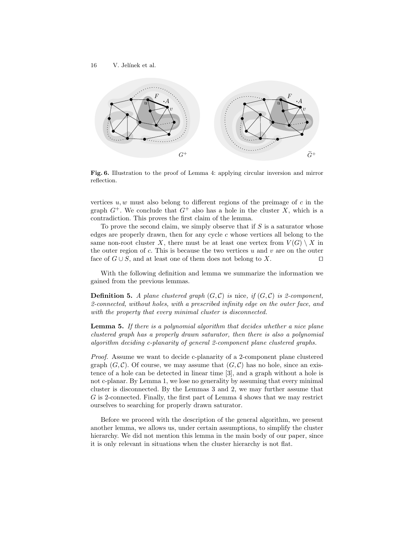

Fig. 6. Illustration to the proof of Lemma 4: applying circular inversion and mirror reflection.

vertices  $u, w$  must also belong to different regions of the preimage of c in the graph  $G^+$ . We conclude that  $G^+$  also has a hole in the cluster X, which is a contradiction. This proves the first claim of the lemma.

To prove the second claim, we simply observe that if  $S$  is a saturator whose edges are properly drawn, then for any cycle  $c$  whose vertices all belong to the same non-root cluster X, there must be at least one vertex from  $V(G) \setminus X$  in the outer region of c. This is because the two vertices  $u$  and  $v$  are on the outer face of  $G \cup S$ , and at least one of them does not belong to X.  $\square$ 

With the following definition and lemma we summarize the information we gained from the previous lemmas.

**Definition 5.** A plane clustered graph  $(G, \mathcal{C})$  is nice, if  $(G, \mathcal{C})$  is 2-component, 2-connected, without holes, with a prescribed infinity edge on the outer face, and with the property that every minimal cluster is disconnected.

Lemma 5. If there is a polynomial algorithm that decides whether a nice plane clustered graph has a properly drawn saturator, then there is also a polynomial algorithm deciding c-planarity of general 2-component plane clustered graphs.

Proof. Assume we want to decide c-planarity of a 2-component plane clustered graph  $(G, \mathcal{C})$ . Of course, we may assume that  $(G, \mathcal{C})$  has no hole, since an existence of a hole can be detected in linear time [3], and a graph without a hole is not c-planar. By Lemma 1, we lose no generality by assuming that every minimal cluster is disconnected. By the Lemmas 3 and 2, we may further assume that G is 2-connected. Finally, the first part of Lemma 4 shows that we may restrict ourselves to searching for properly drawn saturator.

Before we proceed with the description of the general algorithm, we present another lemma, we allows us, under certain assumptions, to simplify the cluster hierarchy. We did not mention this lemma in the main body of our paper, since it is only relevant in situations when the cluster hierarchy is not flat.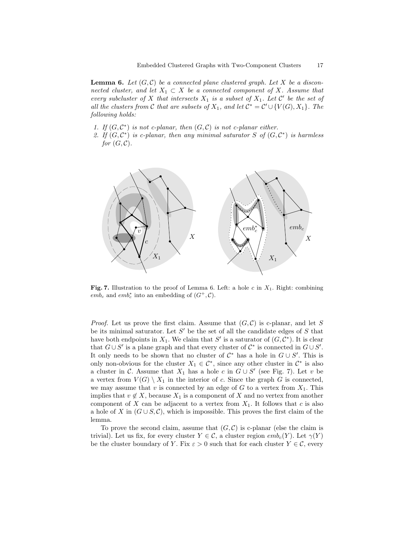**Lemma 6.** Let  $(G, \mathcal{C})$  be a connected plane clustered graph. Let X be a disconnected cluster, and let  $X_1 \subset X$  be a connected component of X. Assume that every subcluster of X that intersects  $X_1$  is a subset of  $X_1$ . Let  $\mathcal{C}'$  be the set of all the clusters from C that are subsets of  $X_1$ , and let  $\mathcal{C}^* = \mathcal{C}' \cup \{V(G), X_1\}$ . The following holds:

- 1. If  $(G, \mathcal{C}^*)$  is not c-planar, then  $(G, \mathcal{C})$  is not c-planar either.
- 2. If  $(G, \mathcal{C}^*)$  is c-planar, then any minimal saturator S of  $(G, \mathcal{C}^*)$  is harmless for  $(G, \mathcal{C})$ .



Fig. 7. Illustration to the proof of Lemma 6. Left: a hole c in  $X_1$ . Right: combining  $emb_c$  and  $emb_c^*$  into an embedding of  $(G^+, \mathcal{C})$ .

*Proof.* Let us prove the first claim. Assume that  $(G, \mathcal{C})$  is c-planar, and let S be its minimal saturator. Let  $S'$  be the set of all the candidate edges of  $S$  that have both endpoints in  $X_1$ . We claim that S' is a saturator of  $(G, \mathcal{C}^*)$ . It is clear that  $G \cup S'$  is a plane graph and that every cluster of  $C^*$  is connected in  $G \cup S'$ . It only needs to be shown that no cluster of  $\mathcal{C}^*$  has a hole in  $G \cup S'$ . This is only non-obvious for the cluster  $X_1 \in \mathcal{C}^*$ , since any other cluster in  $\mathcal{C}^*$  is also a cluster in C. Assume that  $X_1$  has a hole c in  $G \cup S'$  (see Fig. 7). Let v be a vertex from  $V(G) \setminus X_1$  in the interior of c. Since the graph G is connected, we may assume that v is connected by an edge of  $G$  to a vertex from  $X_1$ . This implies that  $v \notin X$ , because  $X_1$  is a component of X and no vertex from another component of X can be adjacent to a vertex from  $X_1$ . It follows that c is also a hole of X in  $(G \cup S, C)$ , which is impossible. This proves the first claim of the lemma.

To prove the second claim, assume that  $(G, \mathcal{C})$  is c-planar (else the claim is trivial). Let us fix, for every cluster  $Y \in \mathcal{C}$ , a cluster region  $emb_c(Y)$ . Let  $\gamma(Y)$ be the cluster boundary of Y. Fix  $\varepsilon > 0$  such that for each cluster  $Y \in \mathcal{C}$ , every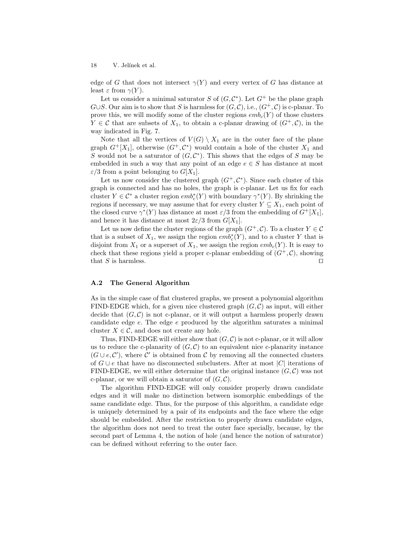edge of G that does not intersect  $\gamma(Y)$  and every vertex of G has distance at least  $\varepsilon$  from  $\gamma(Y)$ .

Let us consider a minimal saturator S of  $(G, \mathcal{C}^*)$ . Let  $G^+$  be the plane graph  $G\cup S$ . Our aim is to show that S is harmless for  $(G,\mathcal{C})$ , i.e.,  $(G^+,\mathcal{C})$  is c-planar. To prove this, we will modify some of the cluster regions  $emb_c(Y)$  of those clusters  $Y \in \mathcal{C}$  that are subsets of  $X_1$ , to obtain a c-planar drawing of  $(G^+, \mathcal{C})$ , in the way indicated in Fig. 7.

Note that all the vertices of  $V(G) \setminus X_1$  are in the outer face of the plane graph  $G^+[X_1]$ , otherwise  $(G^+,\mathcal{C}^*)$  would contain a hole of the cluster  $X_1$  and S would not be a saturator of  $(G, \mathcal{C}^*)$ . This shows that the edges of S may be embedded in such a way that any point of an edge  $e \in S$  has distance at most  $\varepsilon/3$  from a point belonging to  $G[X_1]$ .

Let us now consider the clustered graph  $(G^+, \mathcal{C}^*)$ . Since each cluster of this graph is connected and has no holes, the graph is c-planar. Let us fix for each cluster  $Y \in \mathcal{C}^*$  a cluster region  $emb_c^*(Y)$  with boundary  $\gamma^*(Y)$ . By shrinking the regions if necessary, we may assume that for every cluster  $Y \subseteq X_1$ , each point of the closed curve  $\gamma^*(Y)$  has distance at most  $\varepsilon/3$  from the embedding of  $G^+[X_1]$ , and hence it has distance at most  $2\varepsilon/3$  from  $G[X_1]$ .

Let us now define the cluster regions of the graph  $(G^+, \mathcal{C})$ . To a cluster  $Y \in \mathcal{C}$ that is a subset of  $X_1$ , we assign the region  $emb_c^*(Y)$ , and to a cluster Y that is disjoint from  $X_1$  or a superset of  $X_1$ , we assign the region  $emb_c(Y)$ . It is easy to check that these regions yield a proper c-planar embedding of  $(G^+, \mathcal{C})$ , showing that S is harmless.  $\square$ 

#### A.2 The General Algorithm

As in the simple case of flat clustered graphs, we present a polynomial algorithm FIND-EDGE which, for a given nice clustered graph  $(G, \mathcal{C})$  as input, will either decide that  $(G, \mathcal{C})$  is not c-planar, or it will output a harmless properly drawn candidate edge  $e$ . The edge  $e$  produced by the algorithm saturates a minimal cluster  $X \in \mathcal{C}$ , and does not create any hole.

Thus, FIND-EDGE will either show that  $(G, \mathcal{C})$  is not c-planar, or it will allow us to reduce the c-planarity of  $(G, \mathcal{C})$  to an equivalent nice c-planarity instance  $(G \cup e, C')$ , where C' is obtained from C by removing all the connected clusters of  $G \cup e$  that have no disconnected subclusters. After at most  $|C|$  iterations of FIND-EDGE, we will either determine that the original instance  $(G, \mathcal{C})$  was not c-planar, or we will obtain a saturator of  $(G, \mathcal{C})$ .

The algorithm FIND-EDGE will only consider properly drawn candidate edges and it will make no distinction between isomorphic embeddings of the same candidate edge. Thus, for the purpose of this algorithm, a candidate edge is uniquely determined by a pair of its endpoints and the face where the edge should be embedded. After the restriction to properly drawn candidate edges, the algorithm does not need to treat the outer face specially, because, by the second part of Lemma 4, the notion of hole (and hence the notion of saturator) can be defined without referring to the outer face.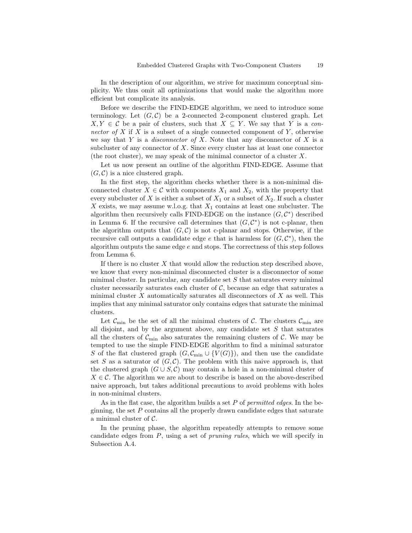In the description of our algorithm, we strive for maximum conceptual simplicity. We thus omit all optimizations that would make the algorithm more efficient but complicate its analysis.

Before we describe the FIND-EDGE algorithm, we need to introduce some terminology. Let  $(G, \mathcal{C})$  be a 2-connected 2-component clustered graph. Let  $X, Y \in \mathcal{C}$  be a pair of clusters, such that  $X \subseteq Y$ . We say that Y is a connector of X if X is a subset of a single connected component of Y, otherwise we say that Y is a *disconnector of X*. Note that any disconnector of X is a subcluster of any connector of  $X$ . Since every cluster has at least one connector (the root cluster), we may speak of the minimal connector of a cluster  $X$ .

Let us now present an outline of the algorithm FIND-EDGE. Assume that  $(G, \mathcal{C})$  is a nice clustered graph.

In the first step, the algorithm checks whether there is a non-minimal disconnected cluster  $X \in \mathcal{C}$  with components  $X_1$  and  $X_2$ , with the property that every subcluster of X is either a subset of  $X_1$  or a subset of  $X_2$ . If such a cluster  $X$  exists, we may assume w.l.o.g. that  $X_1$  contains at least one subcluster. The algorithm then recursively calls FIND-EDGE on the instance  $(G, \mathcal{C}^*)$  described in Lemma 6. If the recursive call determines that  $(G, \mathcal{C}^*)$  is not c-planar, then the algorithm outputs that  $(G, \mathcal{C})$  is not c-planar and stops. Otherwise, if the recursive call outputs a candidate edge e that is harmless for  $(G, \mathcal{C}^*)$ , then the algorithm outputs the same edge  $e$  and stops. The correctness of this step follows from Lemma 6.

If there is no cluster  $X$  that would allow the reduction step described above, we know that every non-minimal disconnected cluster is a disconnector of some minimal cluster. In particular, any candidate set  $S$  that saturates every minimal cluster necessarily saturates each cluster of  $C$ , because an edge that saturates a minimal cluster  $X$  automatically saturates all disconnectors of  $X$  as well. This implies that any minimal saturator only contains edges that saturate the minimal clusters.

Let  $\mathcal{C}_{\text{min}}$  be the set of all the minimal clusters of C. The clusters  $\mathcal{C}_{\text{min}}$  are all disjoint, and by the argument above, any candidate set  $S$  that saturates all the clusters of  $\mathcal{C}_{\text{min}}$  also saturates the remaining clusters of  $\mathcal{C}$ . We may be tempted to use the simple FIND-EDGE algorithm to find a minimal saturator S of the flat clustered graph  $(G, \mathcal{C}_{\min} \cup \{V(G)\})$ , and then use the candidate set S as a saturator of  $(G, \mathcal{C})$ . The problem with this naive approach is, that the clustered graph  $(G \cup S, C)$  may contain a hole in a non-minimal cluster of  $X \in \mathcal{C}$ . The algorithm we are about to describe is based on the above-described naive approach, but takes additional precautions to avoid problems with holes in non-minimal clusters.

As in the flat case, the algorithm builds a set  $P$  of *permitted edges*. In the beginning, the set  $P$  contains all the properly drawn candidate edges that saturate a minimal cluster of C.

In the pruning phase, the algorithm repeatedly attempts to remove some candidate edges from P, using a set of pruning rules, which we will specify in Subsection A.4.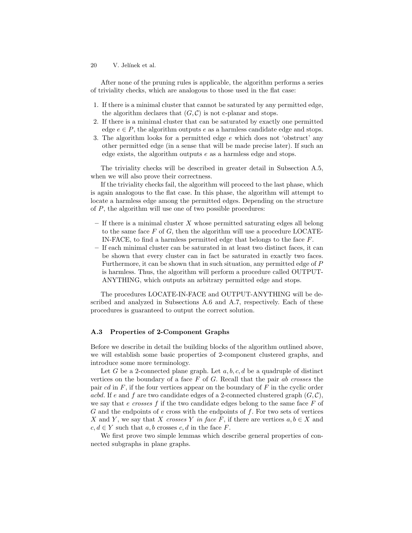After none of the pruning rules is applicable, the algorithm performs a series of triviality checks, which are analogous to those used in the flat case:

- 1. If there is a minimal cluster that cannot be saturated by any permitted edge, the algorithm declares that  $(G, \mathcal{C})$  is not c-planar and stops.
- 2. If there is a minimal cluster that can be saturated by exactly one permitted edge  $e \in P$ , the algorithm outputs e as a harmless candidate edge and stops.
- 3. The algorithm looks for a permitted edge e which does not 'obstruct' any other permitted edge (in a sense that will be made precise later). If such an edge exists, the algorithm outputs e as a harmless edge and stops.

The triviality checks will be described in greater detail in Subsection A.5, when we will also prove their correctness.

If the triviality checks fail, the algorithm will proceed to the last phase, which is again analogous to the flat case. In this phase, the algorithm will attempt to locate a harmless edge among the permitted edges. Depending on the structure of  $P$ , the algorithm will use one of two possible procedures:

- $-$  If there is a minimal cluster X whose permitted saturating edges all belong to the same face  $F$  of  $G$ , then the algorithm will use a procedure LOCATE-IN-FACE, to find a harmless permitted edge that belongs to the face F.
- If each minimal cluster can be saturated in at least two distinct faces, it can be shown that every cluster can in fact be saturated in exactly two faces. Furthermore, it can be shown that in such situation, any permitted edge of P is harmless. Thus, the algorithm will perform a procedure called OUTPUT-ANYTHING, which outputs an arbitrary permitted edge and stops.

The procedures LOCATE-IN-FACE and OUTPUT-ANYTHING will be described and analyzed in Subsections A.6 and A.7, respectively. Each of these procedures is guaranteed to output the correct solution.

#### A.3 Properties of 2-Component Graphs

Before we describe in detail the building blocks of the algorithm outlined above, we will establish some basic properties of 2-component clustered graphs, and introduce some more terminology.

Let G be a 2-connected plane graph. Let  $a, b, c, d$  be a quadruple of distinct vertices on the boundary of a face  $F$  of  $G$ . Recall that the pair ab crosses the pair cd in  $F$ , if the four vertices appear on the boundary of  $F$  in the cyclic order acbd. If e and f are two candidate edges of a 2-connected clustered graph  $(G, \mathcal{C})$ , we say that  $e$  crosses  $f$  if the two candidate edges belong to the same face  $F$  of G and the endpoints of  $e$  cross with the endpoints of  $f$ . For two sets of vertices X and Y, we say that X crosses Y in face F, if there are vertices  $a, b \in X$  and  $c, d \in Y$  such that a, b crosses c, d in the face F.

We first prove two simple lemmas which describe general properties of connected subgraphs in plane graphs.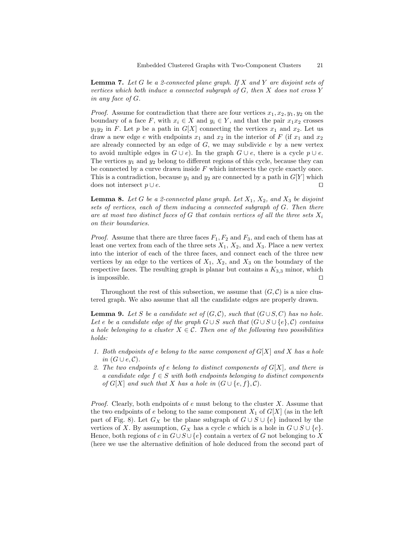**Lemma 7.** Let G be a 2-connected plane graph. If X and Y are disjoint sets of vertices which both induce a connected subgraph of  $G$ , then  $X$  does not cross Y in any face of G.

*Proof.* Assume for contradiction that there are four vertices  $x_1, x_2, y_1, y_2$  on the boundary of a face F, with  $x_i \in X$  and  $y_i \in Y$ , and that the pair  $x_1x_2$  crosses  $y_1y_2$  in F. Let p be a path in  $G[X]$  connecting the vertices  $x_1$  and  $x_2$ . Let us draw a new edge e with endpoints  $x_1$  and  $x_2$  in the interior of F (if  $x_1$  and  $x_2$ ) are already connected by an edge of  $G$ , we may subdivide  $e$  by a new vertex to avoid multiple edges in  $G \cup e$ ). In the graph  $G \cup e$ , there is a cycle  $p \cup e$ . The vertices  $y_1$  and  $y_2$  belong to different regions of this cycle, because they can be connected by a curve drawn inside  $F$  which intersects the cycle exactly once. This is a contradiction, because  $y_1$  and  $y_2$  are connected by a path in  $G[Y]$  which does not intersect  $p \cup e$ .

**Lemma 8.** Let G be a 2-connected plane graph. Let  $X_1$ ,  $X_2$ , and  $X_3$  be disjoint sets of vertices, each of them inducing a connected subgraph of G. Then there are at most two distinct faces of G that contain vertices of all the three sets  $X_i$ on their boundaries.

*Proof.* Assume that there are three faces  $F_1, F_2$  and  $F_3$ , and each of them has at least one vertex from each of the three sets  $X_1, X_2$ , and  $X_3$ . Place a new vertex into the interior of each of the three faces, and connect each of the three new vertices by an edge to the vertices of  $X_1$ ,  $X_2$ , and  $X_3$  on the boundary of the respective faces. The resulting graph is planar but contains a  $K_{3,3}$  minor, which is impossible.  $\Box$ 

Throughout the rest of this subsection, we assume that  $(G, \mathcal{C})$  is a nice clustered graph. We also assume that all the candidate edges are properly drawn.

**Lemma 9.** Let S be a candidate set of  $(G, C)$ , such that  $(G \cup S, C)$  has no hole. Let e be a candidate edge of the graph  $G \cup S$  such that  $(G \cup S \cup \{e\}, \mathcal{C})$  contains a hole belonging to a cluster  $X \in \mathcal{C}$ . Then one of the following two possibilities holds:

- 1. Both endpoints of e belong to the same component of  $G[X]$  and X has a hole in  $(G \cup e, C)$ .
- 2. The two endpoints of e belong to distinct components of  $G[X]$ , and there is a candidate edge  $f \in S$  with both endpoints belonging to distinct components of  $G[X]$  and such that X has a hole in  $(G \cup \{e, f\}, \mathcal{C})$ .

*Proof.* Clearly, both endpoints of  $e$  must belong to the cluster  $X$ . Assume that the two endpoints of e belong to the same component  $X_1$  of  $G[X]$  (as in the left part of Fig. 8). Let  $G_X$  be the plane subgraph of  $G \cup S \cup \{e\}$  induced by the vertices of X. By assumption,  $G_X$  has a cycle c which is a hole in  $G \cup S \cup \{e\}.$ Hence, both regions of c in  $G \cup S \cup \{e\}$  contain a vertex of G not belonging to X (here we use the alternative definition of hole deduced from the second part of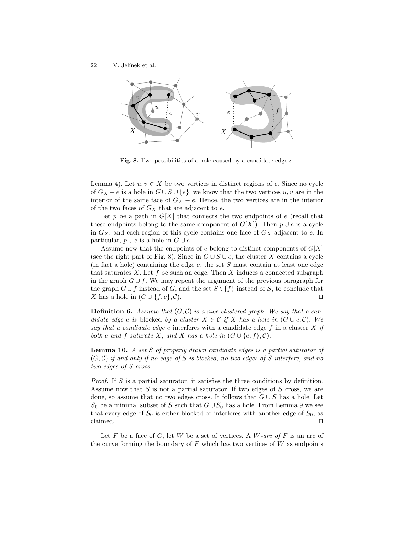22 V. Jelínek et al.



Fig. 8. Two possibilities of a hole caused by a candidate edge e.

Lemma 4). Let  $u, v \in \overline{X}$  be two vertices in distinct regions of c. Since no cycle of  $G_X - e$  is a hole in  $G \cup S \cup \{e\}$ , we know that the two vertices  $u, v$  are in the interior of the same face of  $G_X - e$ . Hence, the two vertices are in the interior of the two faces of  $G_X$  that are adjacent to  $e$ .

Let p be a path in  $G[X]$  that connects the two endpoints of e (recall that these endpoints belong to the same component of  $G[X]$ ). Then  $p \cup e$  is a cycle in  $G_X$ , and each region of this cycle contains one face of  $G_X$  adjacent to e. In particular,  $p \cup e$  is a hole in  $G \cup e$ .

Assume now that the endpoints of e belong to distinct components of  $G[X]$ (see the right part of Fig. 8). Since in  $G \cup S \cup e$ , the cluster X contains a cycle (in fact a hole) containing the edge  $e$ , the set S must contain at least one edge that saturates  $X$ . Let  $f$  be such an edge. Then  $X$  induces a connected subgraph in the graph  $G \cup f$ . We may repeat the argument of the previous paragraph for the graph  $G \cup f$  instead of G, and the set  $S \setminus \{f\}$  instead of S, to conclude that X has a hole in  $(G \cup \{f, e\}, \mathcal{C})$ .

**Definition 6.** Assume that  $(G, \mathcal{C})$  is a nice clustered graph. We say that a candidate edge e is blocked by a cluster  $X \in \mathcal{C}$  if X has a hole in  $(G \cup e, \mathcal{C})$ . We say that a candidate edge e interferes with a candidate edge f in a cluster  $X$  if both e and f saturate X, and X has a hole in  $(G \cup \{e, f\}, \mathcal{C})$ .

**Lemma 10.** A set  $S$  of properly drawn candidate edges is a partial saturator of  $(G, \mathcal{C})$  if and only if no edge of S is blocked, no two edges of S interfere, and no two edges of S cross.

Proof. If S is a partial saturator, it satisfies the three conditions by definition. Assume now that  $S$  is not a partial saturator. If two edges of  $S$  cross, we are done, so assume that no two edges cross. It follows that  $G \cup S$  has a hole. Let  $S_0$  be a minimal subset of S such that  $G \cup S_0$  has a hole. From Lemma 9 we see that every edge of  $S_0$  is either blocked or interferes with another edge of  $S_0$ , as claimed.  $\Box$ 

Let  $F$  be a face of  $G$ , let  $W$  be a set of vertices. A  $W$ -arc of  $F$  is an arc of the curve forming the boundary of  $F$  which has two vertices of  $W$  as endpoints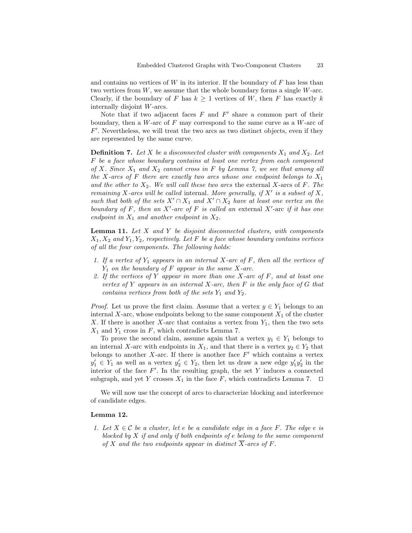and contains no vertices of  $W$  in its interior. If the boundary of  $F$  has less than two vertices from  $W$ , we assume that the whole boundary forms a single  $W$ -arc. Clearly, if the boundary of F has  $k \geq 1$  vertices of W, then F has exactly k internally disjoint W-arcs.

Note that if two adjacent faces  $F$  and  $F'$  share a common part of their boundary, then a  $W$ -arc of  $F$  may correspond to the same curve as a  $W$ -arc of  $F'$ . Nevertheless, we will treat the two arcs as two distinct objects, even if they are represented by the same curve.

**Definition 7.** Let X be a disconnected cluster with components  $X_1$  and  $X_2$ . Let F be a face whose boundary contains at least one vertex from each component of X. Since  $X_1$  and  $X_2$  cannot cross in F by Lemma 7, we see that among all the X-arcs of F there are exactly two arcs whose one endpoint belongs to  $X_1$ and the other to  $X_2$ . We will call these two arcs the external X-arcs of F. The remaining X-arcs will be called internal. More generally, if  $X'$  is a subset of X, such that both of the sets  $X' \cap X_1$  and  $X' \cap X_2$  have at least one vertex on the boundary of F, then an X'-arc of F is called an external X'-arc if it has one endpoint in  $X_1$  and another endpoint in  $X_2$ .

**Lemma 11.** Let  $X$  and  $Y$  be disjoint disconnected clusters, with components  $X_1, X_2$  and  $Y_1, Y_2$ , respectively. Let F be a face whose boundary contains vertices of all the four components. The following holds:

- 1. If a vertex of  $Y_1$  appears in an internal X-arc of F, then all the vertices of  $Y_1$  on the boundary of F appear in the same X-arc.
- 2. If the vertices of Y appear in more than one  $X$ -arc of  $F$ , and at least one vertex of  $Y$  appears in an internal  $X$ -arc, then  $F$  is the only face of  $G$  that contains vertices from both of the sets  $Y_1$  and  $Y_2$ .

*Proof.* Let us prove the first claim. Assume that a vertex  $y \in Y_1$  belongs to an internal X-arc, whose endpoints belong to the same component  $X_1$  of the cluster X. If there is another X-arc that contains a vertex from  $Y_1$ , then the two sets  $X_1$  and  $Y_1$  cross in F, which contradicts Lemma 7.

To prove the second claim, assume again that a vertex  $y_1 \in Y_1$  belongs to an internal X-arc with endpoints in  $X_1$ , and that there is a vertex  $y_2 \in Y_2$  that belongs to another X-arc. If there is another face  $F'$  which contains a vertex  $y'_1 \in Y_1$  as well as a vertex  $y'_2 \in Y_2$ , then let us draw a new edge  $y'_1y'_2$  in the interior of the face  $F'$ . In the resulting graph, the set Y induces a connected subgraph, and yet Y crosses  $X_1$  in the face F, which contradicts Lemma 7.  $\Box$ 

We will now use the concept of arcs to characterize blocking and interference of candidate edges.

### Lemma 12.

1. Let  $X \in \mathcal{C}$  be a cluster, let e be a candidate edge in a face F. The edge e is blocked by  $X$  if and only if both endpoints of  $e$  belong to the same component of X and the two endpoints appear in distinct  $\overline{X}$ -arcs of F.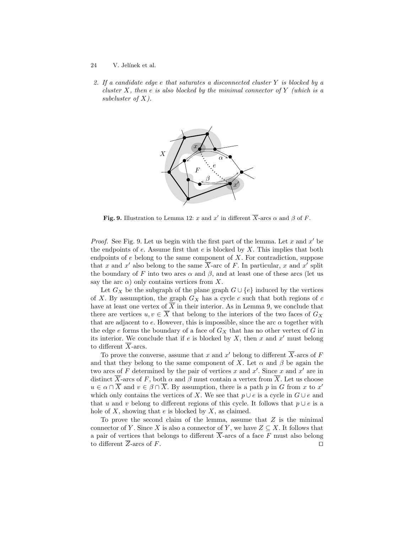- 24 V. Jelínek et al.
- 2. If a candidate edge e that saturates a disconnected cluster Y is blocked by a cluster  $X$ , then e is also blocked by the minimal connector of  $Y$  (which is a subcluster of  $X$ ).



Fig. 9. Illustration to Lemma 12: x and x' in different  $\overline{X}$ -arcs  $\alpha$  and  $\beta$  of F.

*Proof.* See Fig. 9. Let us begin with the first part of the lemma. Let x and  $x'$  be the endpoints of e. Assume first that e is blocked by  $X$ . This implies that both endpoints of  $e$  belong to the same component of  $X$ . For contradiction, suppose that x and x' also belong to the same X-arc of F. In particular, x and x' split the boundary of F into two arcs  $\alpha$  and  $\beta$ , and at least one of these arcs (let us say the arc  $\alpha$ ) only contains vertices from X.

Let  $G_X$  be the subgraph of the plane graph  $G \cup \{e\}$  induced by the vertices of X. By assumption, the graph  $G_X$  has a cycle c such that both regions of c have at least one vertex of  $\overline{X}$  in their interior. As in Lemma 9, we conclude that there are vertices  $u, v \in \overline{X}$  that belong to the interiors of the two faces of  $G_X$ that are adjacent to  $e$ . However, this is impossible, since the arc  $\alpha$  together with the edge e forms the boundary of a face of  $G_X$  that has no other vertex of G in its interior. We conclude that if e is blocked by X, then x and  $x'$  must belong to different  $\overline{X}$ -arcs.

To prove the converse, assume that x and x' belong to different  $\overline{X}$ -arcs of F and that they belong to the same component of X. Let  $\alpha$  and  $\beta$  be again the two arcs of F determined by the pair of vertices x and  $x'$ . Since x and  $x'$  are in distinct  $\overline{X}$ -arcs of F, both  $\alpha$  and  $\beta$  must contain a vertex from  $\overline{X}$ . Let us choose  $u \in \alpha \cap \overline{X}$  and  $v \in \beta \cap \overline{X}$ . By assumption, there is a path p in G from x to x' which only contains the vertices of X. We see that  $p \cup e$  is a cycle in  $G \cup e$  and that u and v belong to different regions of this cycle. It follows that  $p \cup e$  is a hole of  $X$ , showing that  $e$  is blocked by  $X$ , as claimed.

To prove the second claim of the lemma, assume that  $Z$  is the minimal connector of Y. Since X is also a connector of Y, we have  $Z \subseteq X$ . It follows that a pair of vertices that belongs to different  $\overline{X}$ -arcs of a face F must also belong to different  $\overline{Z}$ -arcs of F.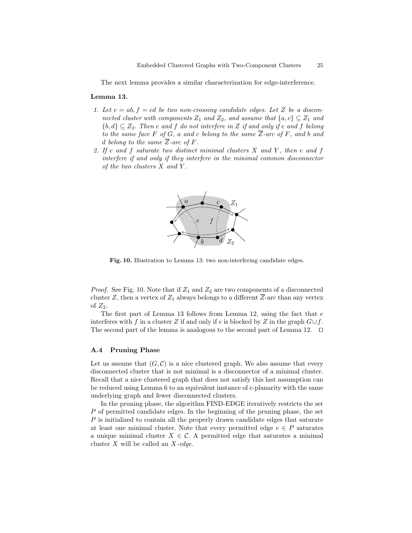The next lemma provides a similar characterization for edge-interference.

#### Lemma 13.

- 1. Let  $e = ab, f = cd$  be two non-crossing candidate edges. Let Z be a disconnected cluster with components  $Z_1$  and  $Z_2$ , and assume that  $\{a, c\} \subseteq Z_1$  and  ${b, d} \subseteq Z_2$ . Then e and f do not interfere in Z if and only if e and f belong to the same face F of G, a and c belong to the same  $\overline{Z}$ -arc of F, and b and d belong to the same  $\overline{Z}$ -arc of F.
- 2. If e and f saturate two distinct minimal clusters  $X$  and  $Y$ , then e and f interfere if and only if they interfere in the minimal common disconnector of the two clusters  $X$  and  $Y$ .



Fig. 10. Illustration to Lemma 13: two non-interfering candidate edges.

*Proof.* See Fig. 10. Note that if  $Z_1$  and  $Z_2$  are two components of a disconnected cluster Z, then a vertex of  $Z_1$  always belongs to a different  $\overline{Z}$ -arc than any vertex of  $Z_2$ .

The first part of Lemma 13 follows from Lemma 12, using the fact that  $e$ interferes with f in a cluster Z if and only if e is blocked by Z in the graph  $G \cup f$ . The second part of the lemma is analogous to the second part of Lemma 12.  $\square$ 

#### A.4 Pruning Phase

Let us assume that  $(G, \mathcal{C})$  is a nice clustered graph. We also assume that every disconnected cluster that is not minimal is a disconnector of a minimal cluster. Recall that a nice clustered graph that does not satisfy this last assumption can be reduced using Lemma 6 to an equivalent instance of c-planarity with the same underlying graph and fewer disconnected clusters.

In the pruning phase, the algorithm FIND-EDGE iteratively restricts the set P of permitted candidate edges. In the beginning of the pruning phase, the set P is initialized to contain all the properly drawn candidate edges that saturate at least one minimal cluster. Note that every permitted edge  $e \in P$  saturates a unique minimal cluster  $X \in \mathcal{C}$ . A permitted edge that saturates a minimal cluster  $X$  will be called an  $X$ -edge.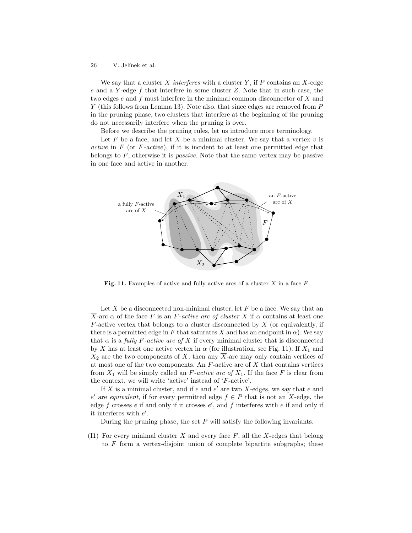We say that a cluster X interferes with a cluster Y, if P contains an X-edge e and a Y-edge f that interfere in some cluster  $Z$ . Note that in such case, the two edges  $e$  and  $f$  must interfere in the minimal common disconnector of  $X$  and Y (this follows from Lemma 13). Note also, that since edges are removed from P in the pruning phase, two clusters that interfere at the beginning of the pruning do not necessarily interfere when the pruning is over.

Before we describe the pruning rules, let us introduce more terminology.

Let  $F$  be a face, and let  $X$  be a minimal cluster. We say that a vertex  $v$  is active in  $F$  (or  $F\text{-}active$ ), if it is incident to at least one permitted edge that belongs to  $F$ , otherwise it is *passive*. Note that the same vertex may be passive in one face and active in another.



Fig. 11. Examples of active and fully active arcs of a cluster  $X$  in a face  $F$ .

Let X be a disconnected non-minimal cluster, let  $F$  be a face. We say that an  $\overline{X}$ -arc  $\alpha$  of the face F is an F-active arc of cluster X if  $\alpha$  contains at least one  $F$ -active vertex that belongs to a cluster disconnected by  $X$  (or equivalently, if there is a permitted edge in F that saturates X and has an endpoint in  $\alpha$ ). We say that  $\alpha$  is a fully F-active arc of X if every minimal cluster that is disconnected by X has at least one active vertex in  $\alpha$  (for illustration, see Fig. 11). If  $X_1$  and  $X_2$  are the two components of X, then any  $\overline{X}$ -arc may only contain vertices of at most one of the two components. An  $F$ -active arc of  $X$  that contains vertices from  $X_1$  will be simply called an F-active arc of  $X_1$ . If the face F is clear from the context, we will write 'active' instead of 'F-active'.

If X is a minimal cluster, and if  $e$  and  $e'$  are two X-edges, we say that  $e$  and e' are equivalent, if for every permitted edge  $f \in P$  that is not an X-edge, the edge f crosses e if and only if it crosses  $e'$ , and f interferes with e if and only if it interferes with  $e'$ .

During the pruning phase, the set  $P$  will satisfy the following invariants.

 $(11)$  For every minimal cluster X and every face F, all the X-edges that belong to  $F$  form a vertex-disjoint union of complete bipartite subgraphs; these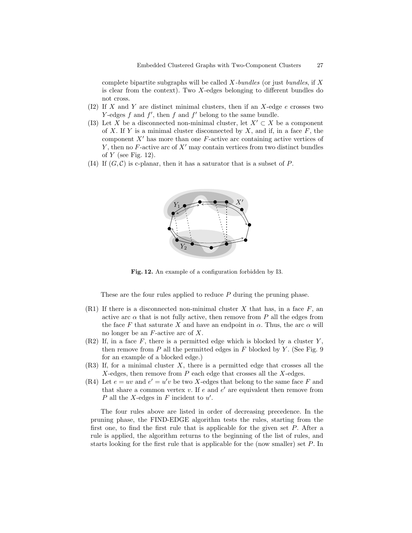complete bipartite subgraphs will be called  $X$ -bundles (or just bundles, if X is clear from the context). Two  $X$ -edges belonging to different bundles do not cross.

- $(12)$  If X and Y are distinct minimal clusters, then if an X-edge e crosses two Y-edges f and  $f'$ , then f and f' belong to the same bundle.
- (I3) Let X be a disconnected non-minimal cluster, let  $X' \subset X$  be a component of X. If Y is a minimal cluster disconnected by X, and if, in a face  $F$ , the component  $X'$  has more than one  $F$ -active arc containing active vertices of  $Y$ , then no  $F$ -active arc of  $X'$  may contain vertices from two distinct bundles of  $Y$  (see Fig. 12).
- (I4) If  $(G, \mathcal{C})$  is c-planar, then it has a saturator that is a subset of P.



Fig. 12. An example of a configuration forbidden by I3.

These are the four rules applied to reduce P during the pruning phase.

- $(R1)$  If there is a disconnected non-minimal cluster X that has, in a face F, an active arc  $\alpha$  that is not fully active, then remove from P all the edges from the face F that saturate X and have an endpoint in  $\alpha$ . Thus, the arc  $\alpha$  will no longer be an F-active arc of X.
- $(R2)$  If, in a face F, there is a permitted edge which is blocked by a cluster Y, then remove from  $P$  all the permitted edges in  $F$  blocked by  $Y$ . (See Fig. 9) for an example of a blocked edge.)
- (R3) If, for a minimal cluster X, there is a permitted edge that crosses all the  $X$ -edges, then remove from  $P$  each edge that crosses all the  $X$ -edges.
- (R4) Let  $e = uv$  and  $e' = u'v$  be two X-edges that belong to the same face F and that share a common vertex  $v$ . If  $e$  and  $e'$  are equivalent then remove from  $P$  all the  $X$ -edges in  $F$  incident to  $u'$ .

The four rules above are listed in order of decreasing precedence. In the pruning phase, the FIND-EDGE algorithm tests the rules, starting from the first one, to find the first rule that is applicable for the given set P. After a rule is applied, the algorithm returns to the beginning of the list of rules, and starts looking for the first rule that is applicable for the (now smaller) set P. In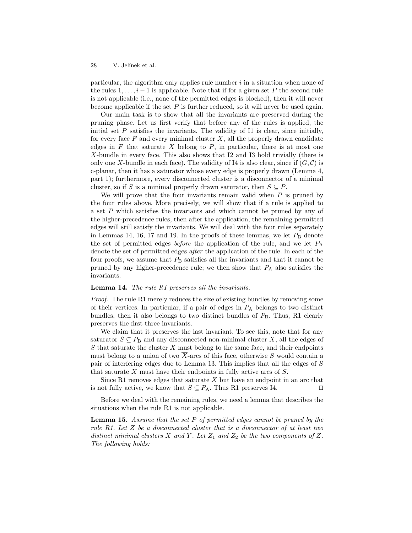particular, the algorithm only applies rule number  $i$  in a situation when none of the rules  $1, \ldots, i-1$  is applicable. Note that if for a given set P the second rule is not applicable (i.e., none of the permitted edges is blocked), then it will never become applicable if the set  $P$  is further reduced, so it will never be used again.

Our main task is to show that all the invariants are preserved during the pruning phase. Let us first verify that before any of the rules is applied, the initial set  $P$  satisfies the invariants. The validity of  $I1$  is clear, since initially, for every face  $F$  and every minimal cluster  $X$ , all the properly drawn candidate edges in  $F$  that saturate  $X$  belong to  $P$ , in particular, there is at most one X-bundle in every face. This also shows that I2 and I3 hold trivially (there is only one X-bundle in each face). The validity of I4 is also clear, since if  $(G, \mathcal{C})$  is c-planar, then it has a saturator whose every edge is properly drawn (Lemma 4, part 1); furthermore, every disconnected cluster is a disconnector of a minimal cluster, so if S is a minimal properly drawn saturator, then  $S \subseteq P$ .

We will prove that the four invariants remain valid when  $P$  is pruned by the four rules above. More precisely, we will show that if a rule is applied to a set  $P$  which satisfies the invariants and which cannot be pruned by any of the higher-precedence rules, then after the application, the remaining permitted edges will still satisfy the invariants. We will deal with the four rules separately in Lemmas 14, 16, 17 and 19. In the proofs of these lemmas, we let  $P_\text{B}$  denote the set of permitted edges *before* the application of the rule, and we let  $P_A$ denote the set of permitted edges after the application of the rule. In each of the four proofs, we assume that  $P_\text{B}$  satisfies all the invariants and that it cannot be pruned by any higher-precedence rule; we then show that  $P_A$  also satisfies the invariants.

#### Lemma 14. The rule R1 preserves all the invariants.

Proof. The rule R1 merely reduces the size of existing bundles by removing some of their vertices. In particular, if a pair of edges in  $P_A$  belongs to two distinct bundles, then it also belongs to two distinct bundles of  $P_B$ . Thus, R1 clearly preserves the first three invariants.

We claim that it preserves the last invariant. To see this, note that for any saturator  $S \subseteq P_B$  and any disconnected non-minimal cluster X, all the edges of  $S$  that saturate the cluster  $X$  must belong to the same face, and their endpoints must belong to a union of two  $\overline{X}$ -arcs of this face, otherwise S would contain a pair of interfering edges due to Lemma 13. This implies that all the edges of S that saturate  $X$  must have their endpoints in fully active arcs of  $S$ .

Since R1 removes edges that saturate  $X$  but have an endpoint in an arc that is not fully active, we know that  $S \subseteq P_A$ . Thus R1 preserves I4.

Before we deal with the remaining rules, we need a lemma that describes the situations when the rule R1 is not applicable.

**Lemma 15.** Assume that the set  $P$  of permitted edges cannot be pruned by the rule R1. Let Z be a disconnected cluster that is a disconnector of at least two distinct minimal clusters X and Y. Let  $Z_1$  and  $Z_2$  be the two components of Z. The following holds: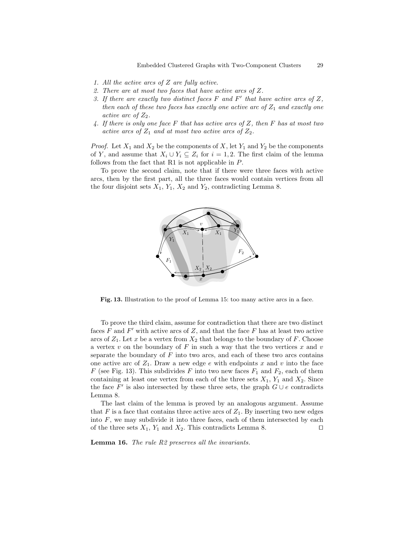- 1. All the active arcs of Z are fully active.
- 2. There are at most two faces that have active arcs of Z.
- 3. If there are exactly two distinct faces  $F$  and  $F'$  that have active arcs of  $Z$ , then each of these two faces has exactly one active arc of  $Z_1$  and exactly one active arc of  $Z_2$ .
- 4. If there is only one face F that has active arcs of Z, then F has at most two active arcs of  $Z_1$  and at most two active arcs of  $Z_2$ .

*Proof.* Let  $X_1$  and  $X_2$  be the components of X, let  $Y_1$  and  $Y_2$  be the components of Y, and assume that  $X_i \cup Y_i \subseteq Z_i$  for  $i = 1, 2$ . The first claim of the lemma follows from the fact that R1 is not applicable in P.

To prove the second claim, note that if there were three faces with active arcs, then by the first part, all the three faces would contain vertices from all the four disjoint sets  $X_1, Y_1, X_2$  and  $Y_2$ , contradicting Lemma 8.



Fig. 13. Illustration to the proof of Lemma 15: too many active arcs in a face.

To prove the third claim, assume for contradiction that there are two distinct faces F and F' with active arcs of Z, and that the face F has at least two active arcs of  $Z_1$ . Let x be a vertex from  $X_2$  that belongs to the boundary of F. Choose a vertex  $v$  on the boundary of  $F$  in such a way that the two vertices  $x$  and  $v$ separate the boundary of  $F$  into two arcs, and each of these two arcs contains one active arc of  $Z_1$ . Draw a new edge e with endpoints x and v into the face F (see Fig. 13). This subdivides F into two new faces  $F_1$  and  $F_2$ , each of them containing at least one vertex from each of the three sets  $X_1, Y_1$  and  $X_2$ . Since the face  $F'$  is also intersected by these three sets, the graph  $G \cup e$  contradicts Lemma 8.

The last claim of the lemma is proved by an analogous argument. Assume that F is a face that contains three active arcs of  $Z_1$ . By inserting two new edges into  $F$ , we may subdivide it into three faces, each of them intersected by each of the three sets  $X_1$ ,  $Y_1$  and  $X_2$ . This contradicts Lemma 8.

Lemma 16. The rule R2 preserves all the invariants.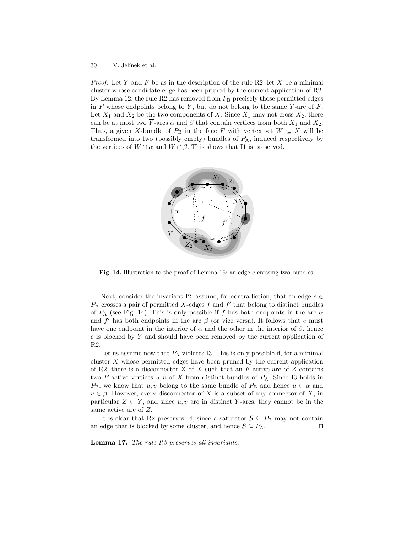*Proof.* Let Y and F be as in the description of the rule R2, let X be a minimal cluster whose candidate edge has been pruned by the current application of R2. By Lemma 12, the rule  $R2$  has removed from  $P<sub>B</sub>$  precisely those permitted edges in F whose endpoints belong to Y, but do not belong to the same  $\overline{Y}$ -arc of F. Let  $X_1$  and  $X_2$  be the two components of X. Since  $X_1$  may not cross  $X_2$ , there can be at most two  $\overline{Y}$ -arcs  $\alpha$  and  $\beta$  that contain vertices from both  $X_1$  and  $X_2$ . Thus, a given X-bundle of  $P_\text{B}$  in the face F with vertex set  $W \subseteq X$  will be transformed into two (possibly empty) bundles of  $P_A$ , induced respectively by the vertices of  $W \cap \alpha$  and  $W \cap \beta$ . This shows that I1 is preserved.



Fig. 14. Illustration to the proof of Lemma 16: an edge e crossing two bundles.

Next, consider the invariant I2: assume, for contradiction, that an edge  $e \in$  $P_A$  crosses a pair of permitted X-edges f and f' that belong to distinct bundles of  $P_A$  (see Fig. 14). This is only possible if f has both endpoints in the arc  $\alpha$ and f' has both endpoints in the arc  $\beta$  (or vice versa). It follows that e must have one endpoint in the interior of  $\alpha$  and the other in the interior of  $\beta$ , hence  $e$  is blocked by  $Y$  and should have been removed by the current application of R2.

Let us assume now that  $P_A$  violates I3. This is only possible if, for a minimal cluster  $X$  whose permitted edges have been pruned by the current application of R2, there is a disconnector  $Z$  of  $X$  such that an  $F$ -active arc of  $Z$  contains two F-active vertices  $u, v$  of X from distinct bundles of  $P_A$ . Since I3 holds in  $P_{\rm B}$ , we know that  $u, v$  belong to the same bundle of  $P_{\rm B}$  and hence  $u \in \alpha$  and  $v \in \beta$ . However, every disconnector of X is a subset of any connector of X, in particular  $Z \subset Y$ , and since u, v are in distinct  $\overline{Y}$ -arcs, they cannot be in the same active arc of Z.

It is clear that R2 preserves I4, since a saturator  $S \subseteq P_B$  may not contain an edge that is blocked by some cluster, and hence  $S \subseteq P_A$ .

Lemma 17. The rule R3 preserves all invariants.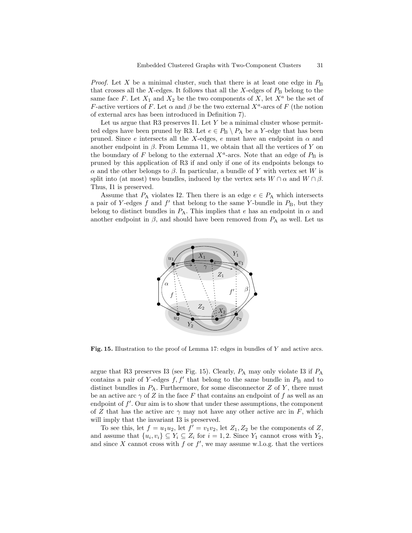*Proof.* Let X be a minimal cluster, such that there is at least one edge in  $P_{\rm B}$ that crosses all the X-edges. It follows that all the X-edges of  $P_{\rm B}$  belong to the same face F. Let  $X_1$  and  $X_2$  be the two components of X, let  $X^a$  be the set of F-active vertices of F. Let  $\alpha$  and  $\beta$  be the two external  $X^a$ -arcs of F (the notion of external arcs has been introduced in Definition 7).

Let us argue that R3 preserves I1. Let  $Y$  be a minimal cluster whose permitted edges have been pruned by R3. Let  $e \in P_B \setminus P_A$  be a Y-edge that has been pruned. Since e intersects all the X-edges, e must have an endpoint in  $\alpha$  and another endpoint in  $\beta$ . From Lemma 11, we obtain that all the vertices of Y on the boundary of F belong to the external  $X^a$ -arcs. Note that an edge of  $P_B$  is pruned by this application of R3 if and only if one of its endpoints belongs to  $\alpha$  and the other belongs to  $\beta$ . In particular, a bundle of Y with vertex set W is split into (at most) two bundles, induced by the vertex sets  $W \cap \alpha$  and  $W \cap \beta$ . Thus, I1 is preserved.

Assume that  $P_A$  violates I2. Then there is an edge  $e \in P_A$  which intersects a pair of Y-edges f and  $f'$  that belong to the same Y-bundle in  $P_{\text{B}}$ , but they belong to distinct bundles in  $P_A$ . This implies that e has an endpoint in  $\alpha$  and another endpoint in  $\beta$ , and should have been removed from  $P_A$  as well. Let us



Fig. 15. Illustration to the proof of Lemma 17: edges in bundles of Y and active arcs.

argue that R3 preserves I3 (see Fig. 15). Clearly,  $P_A$  may only violate I3 if  $P_A$ contains a pair of Y-edges  $f, f'$  that belong to the same bundle in  $P_\text{B}$  and to distinct bundles in  $P_A$ . Furthermore, for some disconnector Z of Y, there must be an active arc  $\gamma$  of Z in the face F that contains an endpoint of f as well as an endpoint of  $f'$ . Our aim is to show that under these assumptions, the component of Z that has the active arc  $\gamma$  may not have any other active arc in F, which will imply that the invariant I3 is preserved.

To see this, let  $f = u_1u_2$ , let  $f' = v_1v_2$ , let  $Z_1, Z_2$  be the components of Z, and assume that  $\{u_i, v_i\} \subseteq Y_i \subseteq Z_i$  for  $i = 1, 2$ . Since  $Y_1$  cannot cross with  $Y_2$ , and since X cannot cross with f or  $f'$ , we may assume w.l.o.g. that the vertices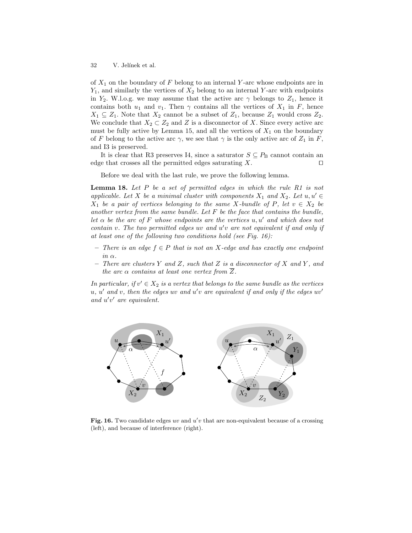of  $X_1$  on the boundary of F belong to an internal Y-arc whose endpoints are in  $Y_1$ , and similarly the vertices of  $X_2$  belong to an internal Y-arc with endpoints in  $Y_2$ . W.l.o.g. we may assume that the active arc  $\gamma$  belongs to  $Z_1$ , hence it contains both  $u_1$  and  $v_1$ . Then  $\gamma$  contains all the vertices of  $X_1$  in F, hence  $X_1 \subseteq Z_1$ . Note that  $X_2$  cannot be a subset of  $Z_1$ , because  $Z_1$  would cross  $Z_2$ . We conclude that  $X_2 \subset Z_2$  and Z is a disconnector of X. Since every active arc must be fully active by Lemma 15, and all the vertices of  $X_1$  on the boundary of F belong to the active arc  $\gamma$ , we see that  $\gamma$  is the only active arc of  $Z_1$  in F, and I3 is preserved.

It is clear that R3 preserves I4, since a saturator  $S \subseteq P_B$  cannot contain an edge that crosses all the permitted edges saturating  $X$ .  $\Box$ 

Before we deal with the last rule, we prove the following lemma.

**Lemma 18.** Let  $P$  be a set of permitted edges in which the rule  $R1$  is not applicable. Let X be a minimal cluster with components  $X_1$  and  $X_2$ . Let  $u, u' \in$  $X_1$  be a pair of vertices belonging to the same X-bundle of P, let  $v \in X_2$  be another vertex from the same bundle. Let  $F$  be the face that contains the bundle, let  $\alpha$  be the arc of F whose endpoints are the vertices u, u' and which does not contain  $v$ . The two permitted edges uv and  $u'v$  are not equivalent if and only if at least one of the following two conditions hold (see Fig. 16):

- $-$  There is an edge  $f ∈ P$  that is not an X-edge and has exactly one endpoint in  $\alpha$ .
- There are clusters Y and Z, such that Z is a disconnector of X and Y, and the arc  $\alpha$  contains at least one vertex from Z.

In particular, if  $v' \in X_2$  is a vertex that belongs to the same bundle as the vertices  $u, u'$  and v, then the edges  $uv$  and  $u'v$  are equivalent if and only if the edges  $uv'$ and  $u'v'$  are equivalent.



Fig. 16. Two candidate edges uv and  $u'v$  that are non-equivalent because of a crossing (left), and because of interference (right).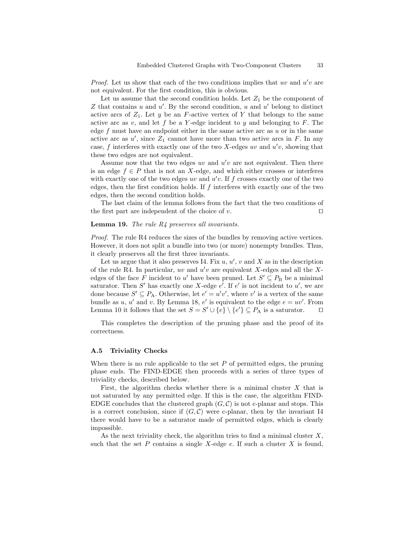*Proof.* Let us show that each of the two conditions implies that  $uv$  and  $u'v$  are not equivalent. For the first condition, this is obvious.

Let us assume that the second condition holds. Let  $Z_1$  be the component of Z that contains u and  $u'$ . By the second condition, u and u' belong to distinct active arcs of  $Z_1$ . Let y be an F-active vertex of Y that belongs to the same active arc as  $v$ , and let  $f$  be a Y-edge incident to  $y$  and belonging to  $F$ . The edge  $f$  must have an endpoint either in the same active arc as  $u$  or in the same active arc as  $u'$ , since  $Z_1$  cannot have more than two active arcs in  $F$ . In any case, f interferes with exactly one of the two X-edges uv and  $u'v$ , showing that these two edges are not equivalent.

Assume now that the two edges  $uv$  and  $u'v$  are not equivalent. Then there is an edge  $f \in P$  that is not an X-edge, and which either crosses or interferes with exactly one of the two edges  $uv$  and  $u'v$ . If f crosses exactly one of the two edges, then the first condition holds. If  $f$  interferes with exactly one of the two edges, then the second condition holds.

The last claim of the lemma follows from the fact that the two conditions of the first part are independent of the choice of  $v$ .

#### **Lemma 19.** The rule  $R_4$  preserves all invariants.

Proof. The rule R4 reduces the sizes of the bundles by removing active vertices. However, it does not split a bundle into two (or more) nonempty bundles. Thus, it clearly preserves all the first three invariants.

Let us argue that it also preserves I4. Fix  $u, u', v$  and X as in the description of the rule R4. In particular, uv and  $u'v$  are equivalent X-edges and all the Xedges of the face F incident to u' have been pruned. Let  $S' \subseteq P_B$  be a minimal saturator. Then S' has exactly one X-edge  $e'$ . If  $e'$  is not incident to u', we are done because  $S' \subseteq P_A$ . Otherwise, let  $e' = u'v'$ , where  $v'$  is a vertex of the same bundle as u, u' and v. By Lemma 18, e' is equivalent to the edge  $e = uv'$ . From Lemma 10 it follows that the set  $S = S' \cup \{e\} \setminus \{e'\} \subseteq P_A$  is a saturator.  $\Box$ 

This completes the description of the pruning phase and the proof of its correctness.

#### A.5 Triviality Checks

When there is no rule applicable to the set  $P$  of permitted edges, the pruning phase ends. The FIND-EDGE then proceeds with a series of three types of triviality checks, described below.

First, the algorithm checks whether there is a minimal cluster  $X$  that is not saturated by any permitted edge. If this is the case, the algorithm FIND-EDGE concludes that the clustered graph  $(G, \mathcal{C})$  is not c-planar and stops. This is a correct conclusion, since if  $(G, \mathcal{C})$  were c-planar, then by the invariant I4 there would have to be a saturator made of permitted edges, which is clearly impossible.

As the next triviality check, the algorithm tries to find a minimal cluster  $X$ , such that the set  $P$  contains a single  $X$ -edge  $e$ . If such a cluster  $X$  is found,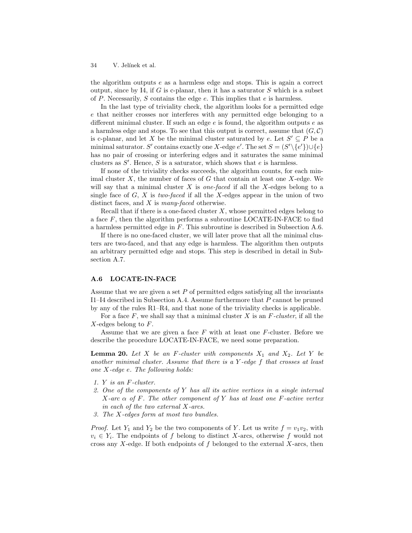the algorithm outputs e as a harmless edge and stops. This is again a correct output, since by I4, if G is c-planar, then it has a saturator  $S$  which is a subset of  $P$ . Necessarily,  $S$  contains the edge  $e$ . This implies that  $e$  is harmless.

In the last type of triviality check, the algorithm looks for a permitted edge e that neither crosses nor interferes with any permitted edge belonging to a different minimal cluster. If such an edge  $e$  is found, the algorithm outputs  $e$  as a harmless edge and stops. To see that this output is correct, assume that  $(G, \mathcal{C})$ is c-planar, and let X be the minimal cluster saturated by e. Let  $S' \subseteq P$  be a minimal saturator. S' contains exactly one X-edge e'. The set  $S = (S' \setminus \{e'\}) \cup \{e\}$ has no pair of crossing or interfering edges and it saturates the same minimal clusters as  $S'$ . Hence,  $S$  is a saturator, which shows that  $e$  is harmless.

If none of the triviality checks succeeds, the algorithm counts, for each minimal cluster  $X$ , the number of faces of  $G$  that contain at least one  $X$ -edge. We will say that a minimal cluster  $X$  is *one-faced* if all the  $X$ -edges belong to a single face of  $G, X$  is two-faced if all the X-edges appear in the union of two distinct faces, and  $X$  is *many-faced* otherwise.

Recall that if there is a one-faced cluster  $X$ , whose permitted edges belong to a face  $F$ , then the algorithm performs a subroutine LOCATE-IN-FACE to find a harmless permitted edge in F. This subroutine is described in Subsection A.6.

If there is no one-faced cluster, we will later prove that all the minimal clusters are two-faced, and that any edge is harmless. The algorithm then outputs an arbitrary permitted edge and stops. This step is described in detail in Subsection A.7.

#### A.6 LOCATE-IN-FACE

Assume that we are given a set  $P$  of permitted edges satisfying all the invariants I1–I4 described in Subsection A.4. Assume furthermore that P cannot be pruned by any of the rules R1–R4, and that none of the triviality checks is applicable.

For a face  $F$ , we shall say that a minimal cluster  $X$  is an  $F$ -cluster, if all the  $X$ -edges belong to  $F$ .

Assume that we are given a face  $F$  with at least one  $F$ -cluster. Before we describe the procedure LOCATE-IN-FACE, we need some preparation.

**Lemma 20.** Let X be an F-cluster with components  $X_1$  and  $X_2$ . Let Y be another minimal cluster. Assume that there is a Y -edge f that crosses at least one X-edge e. The following holds:

- 1. Y is an F-cluster.
- 2. One of the components of Y has all its active vertices in a single internal  $X$ -arc  $\alpha$  of F. The other component of Y has at least one F-active vertex in each of the two external X-arcs.
- 3. The X-edges form at most two bundles.

*Proof.* Let  $Y_1$  and  $Y_2$  be the two components of Y. Let us write  $f = v_1v_2$ , with  $v_i \in Y_i$ . The endpoints of f belong to distinct X-arcs, otherwise f would not cross any  $X$ -edge. If both endpoints of  $f$  belonged to the external  $X$ -arcs, then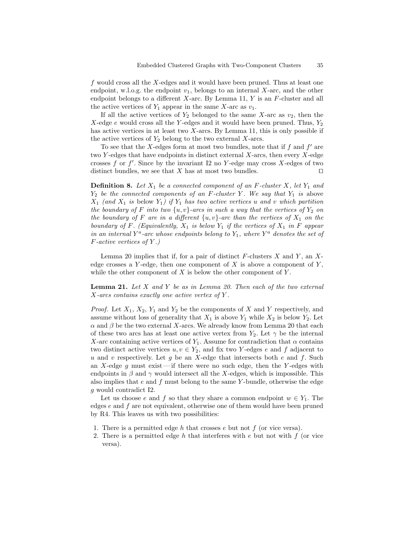f would cross all the X-edges and it would have been pruned. Thus at least one endpoint, w.l.o.g. the endpoint  $v_1$ , belongs to an internal X-arc, and the other endpoint belongs to a different  $X$ -arc. By Lemma 11,  $Y$  is an  $F$ -cluster and all the active vertices of  $Y_1$  appear in the same X-arc as  $v_1$ .

If all the active vertices of  $Y_2$  belonged to the same X-arc as  $v_2$ , then the X-edge  $e$  would cross all the Y-edges and it would have been pruned. Thus,  $Y_2$ has active vertices in at least two X-arcs. By Lemma 11, this is only possible if the active vertices of  $Y_2$  belong to the two external X-arcs.

To see that the X-edges form at most two bundles, note that if  $f$  and  $f'$  are two Y-edges that have endpoints in distinct external  $X$ -arcs, then every  $X$ -edge crosses f or  $f'$ . Since by the invariant I2 no Y-edge may cross X-edges of two distinct bundles, we see that X has at most two bundles.  $\square$ 

**Definition 8.** Let  $X_1$  be a connected component of an F-cluster X, let  $Y_1$  and  $Y_2$  be the connected components of an F-cluster Y. We say that  $Y_1$  is above  $X_1$  (and  $X_1$  is below  $Y_1$ ) if  $Y_1$  has two active vertices u and v which partition the boundary of F into two  $\{u, v\}$ -arcs in such a way that the vertices of  $Y_2$  on the boundary of F are in a different  $\{u, v\}$ -arc than the vertices of  $X_1$  on the boundary of F. (Equivalently,  $X_1$  is below  $Y_1$  if the vertices of  $X_1$  in F appear in an internal  $Y^a$ -arc whose endpoints belong to  $Y_1$ , where  $Y^a$  denotes the set of  $F\text{-}active \ vertices \ of \ Y.$ 

Lemma 20 implies that if, for a pair of distinct  $F$ -clusters  $X$  and  $Y$ , an  $X$ edge crosses a Y-edge, then one component of X is above a component of  $Y$ , while the other component of  $X$  is below the other component of  $Y$ .

**Lemma 21.** Let X and Y be as in Lemma 20. Then each of the two external  $X$ -arcs contains exactly one active vertex of  $Y$ .

*Proof.* Let  $X_1, X_2, Y_1$  and  $Y_2$  be the components of X and Y respectively, and assume without loss of generality that  $X_1$  is above  $Y_1$  while  $X_2$  is below  $Y_2$ . Let  $\alpha$  and  $\beta$  be the two external X-arcs. We already know from Lemma 20 that each of these two arcs has at least one active vertex from  $Y_2$ . Let  $\gamma$  be the internal X-arc containing active vertices of  $Y_1$ . Assume for contradiction that  $\alpha$  contains two distinct active vertices  $u, v \in Y_2$ , and fix two Y-edges e and f adjacent to u and v respectively. Let g be an X-edge that intersects both  $e$  and  $f$ . Such an X-edge q must exist—if there were no such edge, then the Y-edges with endpoints in  $\beta$  and  $\gamma$  would intersect all the X-edges, which is impossible. This also implies that  $e$  and  $f$  must belong to the same Y-bundle, otherwise the edge g would contradict I2.

Let us choose e and f so that they share a common endpoint  $w \in Y_1$ . The edges  $e$  and  $f$  are not equivalent, otherwise one of them would have been pruned by R4. This leaves us with two possibilities:

- 1. There is a permitted edge h that crosses e but not f (or vice versa).
- 2. There is a permitted edge  $h$  that interferes with  $e$  but not with  $f$  (or vice versa).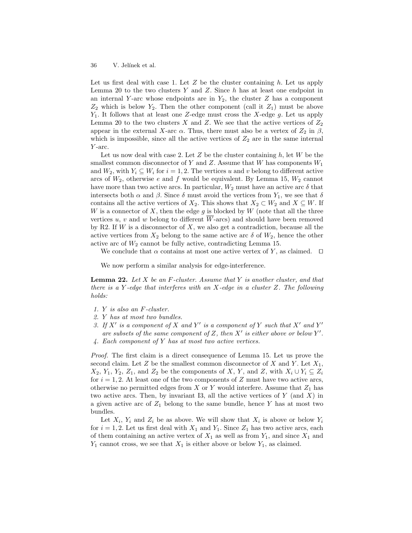Let us first deal with case 1. Let  $Z$  be the cluster containing  $h$ . Let us apply Lemma 20 to the two clusters Y and Z. Since  $h$  has at least one endpoint in an internal Y-arc whose endpoints are in  $Y_2$ , the cluster Z has a component  $Z_2$  which is below  $Y_2$ . Then the other component (call it  $Z_1$ ) must be above  $Y_1$ . It follows that at least one Z-edge must cross the X-edge g. Let us apply Lemma 20 to the two clusters X and Z. We see that the active vertices of  $Z_2$ appear in the external X-arc  $\alpha$ . Thus, there must also be a vertex of  $Z_2$  in  $\beta$ , which is impossible, since all the active vertices of  $Z_2$  are in the same internal Y-arc.

Let us now deal with case 2. Let  $Z$  be the cluster containing  $h$ , let  $W$  be the smallest common disconnector of Y and Z. Assume that W has components  $W_1$ and  $W_2$ , with  $Y_i \subseteq W_i$  for  $i = 1, 2$ . The vertices u and v belong to different active arcs of  $W_2$ , otherwise e and f would be equivalent. By Lemma 15,  $W_2$  cannot have more than two active arcs. In particular,  $W_2$  must have an active arc  $\delta$  that intersects both  $\alpha$  and  $\beta$ . Since  $\delta$  must avoid the vertices from  $Y_1$ , we see that  $\delta$ contains all the active vertices of  $X_2$ . This shows that  $X_2 \subset W_2$  and  $X \subseteq W$ . If W is a connector of X, then the edge g is blocked by W (note that all the three vertices u, v and w belong to different  $\overline{W}$ -arcs) and should have been removed by R2. If  $W$  is a disconnector of  $X$ , we also get a contradiction, because all the active vertices from  $X_2$  belong to the same active arc  $\delta$  of  $W_2$ , hence the other active arc of  $W_2$  cannot be fully active, contradicting Lemma 15.

We conclude that  $\alpha$  contains at most one active vertex of Y, as claimed.  $\square$ 

We now perform a similar analysis for edge-interference.

**Lemma 22.** Let  $X$  be an  $F$ -cluster. Assume that  $Y$  is another cluster, and that there is a Y-edge that interferes with an X-edge in a cluster  $Z$ . The following holds:

- 1. Y is also an F-cluster.
- 2. Y has at most two bundles.
- 3. If X' is a component of X and Y' is a component of Y such that X' and Y' are subsets of the same component of Z, then  $X'$  is either above or below  $Y'$ .
- 4. Each component of Y has at most two active vertices.

Proof. The first claim is a direct consequence of Lemma 15. Let us prove the second claim. Let Z be the smallest common disconnector of X and Y. Let  $X_1$ ,  $X_2, Y_1, Y_2, Z_1$ , and  $Z_2$  be the components of X, Y, and Z, with  $X_i \cup Y_i \subseteq Z_i$ for  $i = 1, 2$ . At least one of the two components of Z must have two active arcs, otherwise no permitted edges from  $X$  or  $Y$  would interfere. Assume that  $Z_1$  has two active arcs. Then, by invariant I3, all the active vertices of  $Y$  (and  $X$ ) in a given active arc of  $Z_1$  belong to the same bundle, hence Y has at most two bundles.

Let  $X_i$ ,  $Y_i$  and  $Z_i$  be as above. We will show that  $X_i$  is above or below  $Y_i$ for  $i = 1, 2$ . Let us first deal with  $X_1$  and  $Y_1$ . Since  $Z_1$  has two active arcs, each of them containing an active vertex of  $X_1$  as well as from  $Y_1$ , and since  $X_1$  and  $Y_1$  cannot cross, we see that  $X_1$  is either above or below  $Y_1$ , as claimed.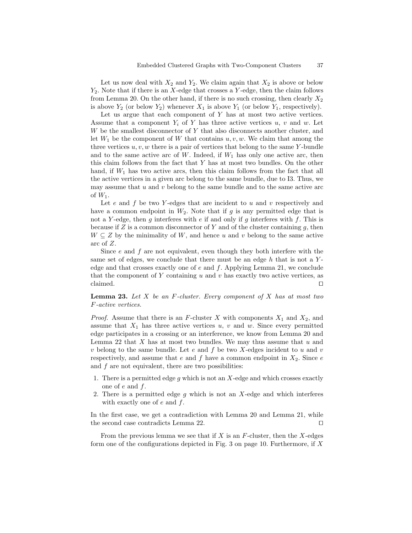Let us now deal with  $X_2$  and  $Y_2$ . We claim again that  $X_2$  is above or below  $Y_2$ . Note that if there is an X-edge that crosses a Y-edge, then the claim follows from Lemma 20. On the other hand, if there is no such crossing, then clearly  $X_2$ is above  $Y_2$  (or below  $Y_2$ ) whenever  $X_1$  is above  $Y_1$  (or below  $Y_1$ , respectively).

Let us argue that each component of  $Y$  has at most two active vertices. Assume that a component  $Y_i$  of Y has three active vertices u, v and w. Let  $W$  be the smallest disconnector of  $Y$  that also disconnects another cluster, and let  $W_1$  be the component of W that contains  $u, v, w$ . We claim that among the three vertices  $u, v, w$  there is a pair of vertices that belong to the same Y-bundle and to the same active arc of  $W$ . Indeed, if  $W_1$  has only one active arc, then this claim follows from the fact that Y has at most two bundles. On the other hand, if  $W_1$  has two active arcs, then this claim follows from the fact that all the active vertices in a given arc belong to the same bundle, due to I3. Thus, we may assume that  $u$  and  $v$  belong to the same bundle and to the same active arc of  $W_1$ .

Let e and f be two Y-edges that are incident to u and v respectively and have a common endpoint in  $W_2$ . Note that if g is any permitted edge that is not a Y-edge, then  $g$  interferes with  $e$  if and only if  $g$  interferes with  $f$ . This is because if  $Z$  is a common disconnector of  $Y$  and of the cluster containing  $g$ , then  $W \subseteq Z$  by the minimality of W, and hence u and v belong to the same active arc of Z.

Since  $e$  and  $f$  are not equivalent, even though they both interfere with the same set of edges, we conclude that there must be an edge  $h$  that is not a Yedge and that crosses exactly one of e and f. Applying Lemma 21, we conclude that the component of Y containing u and v has exactly two active vertices, as claimed.  $\square$ 

**Lemma 23.** Let  $X$  be an F-cluster. Every component of  $X$  has at most two F-active vertices.

*Proof.* Assume that there is an F-cluster X with components  $X_1$  and  $X_2$ , and assume that  $X_1$  has three active vertices u, v and w. Since every permitted edge participates in a crossing or an interference, we know from Lemma 20 and Lemma 22 that X has at most two bundles. We may thus assume that  $u$  and v belong to the same bundle. Let e and f be two X-edges incident to u and v respectively, and assume that e and f have a common endpoint in  $X_2$ . Since e and  $f$  are not equivalent, there are two possibilities:

- 1. There is a permitted edge q which is not an  $X$ -edge and which crosses exactly one of e and f.
- 2. There is a permitted edge q which is not an  $X$ -edge and which interferes with exactly one of  $e$  and  $f$ .

In the first case, we get a contradiction with Lemma 20 and Lemma 21, while the second case contradicts Lemma 22.  $\Box$ 

From the previous lemma we see that if  $X$  is an  $F$ -cluster, then the  $X$ -edges form one of the configurations depicted in Fig. 3 on page 10. Furthermore, if  $X$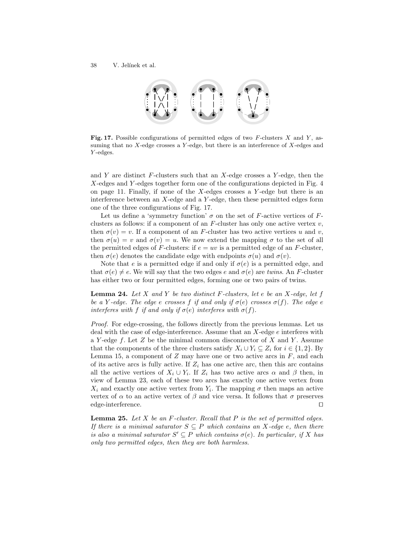

Fig. 17. Possible configurations of permitted edges of two  $F$ -clusters  $X$  and  $Y$ , assuming that no X-edge crosses a Y -edge, but there is an interference of X-edges and Y -edges.

and Y are distinct  $F$ -clusters such that an X-edge crosses a Y-edge, then the X-edges and Y -edges together form one of the configurations depicted in Fig. 4 on page 11. Finally, if none of the  $X$ -edges crosses a  $Y$ -edge but there is an interference between an  $X$ -edge and a  $Y$ -edge, then these permitted edges form one of the three configurations of Fig. 17.

Let us define a 'symmetry function'  $\sigma$  on the set of F-active vertices of Fclusters as follows: if a component of an  $F$ -cluster has only one active vertex  $v$ , then  $\sigma(v) = v$ . If a component of an F-cluster has two active vertices u and v, then  $\sigma(u) = v$  and  $\sigma(v) = u$ . We now extend the mapping  $\sigma$  to the set of all the permitted edges of F-clusters: if  $e = uv$  is a permitted edge of an F-cluster, then  $\sigma(e)$  denotes the candidate edge with endpoints  $\sigma(u)$  and  $\sigma(v)$ .

Note that e is a permitted edge if and only if  $\sigma(e)$  is a permitted edge, and that  $\sigma(e) \neq e$ . We will say that the two edges e and  $\sigma(e)$  are twins. An F-cluster has either two or four permitted edges, forming one or two pairs of twins.

**Lemma 24.** Let X and Y be two distinct F-clusters, let e be an X-edge, let f be a Y-edge. The edge e crosses f if and only if  $\sigma(e)$  crosses  $\sigma(f)$ . The edge e interferes with f if and only if  $\sigma(e)$  interferes with  $\sigma(f)$ .

Proof. For edge-crossing, the follows directly from the previous lemmas. Let us deal with the case of edge-interference. Assume that an X-edge e interferes with a Y-edge  $f$ . Let  $Z$  be the minimal common disconnector of  $X$  and  $Y$ . Assume that the components of the three clusters satisfy  $X_i \cup Y_i \subseteq Z_i$  for  $i \in \{1,2\}$ . By Lemma 15, a component of  $Z$  may have one or two active arcs in  $F$ , and each of its active arcs is fully active. If  $Z_i$  has one active arc, then this arc contains all the active vertices of  $X_i \cup Y_i$ . If  $Z_i$  has two active arcs  $\alpha$  and  $\beta$  then, in view of Lemma 23, each of these two arcs has exactly one active vertex from  $X_i$  and exactly one active vertex from  $Y_i$ . The mapping  $\sigma$  then maps an active vertex of  $\alpha$  to an active vertex of  $\beta$  and vice versa. It follows that  $\sigma$  preserves edge-interference.

**Lemma 25.** Let  $X$  be an  $F$ -cluster. Recall that  $P$  is the set of permitted edges. If there is a minimal saturator  $S \subseteq P$  which contains an X-edge e, then there is also a minimal saturator  $S' \subseteq P$  which contains  $\sigma(e)$ . In particular, if X has only two permitted edges, then they are both harmless.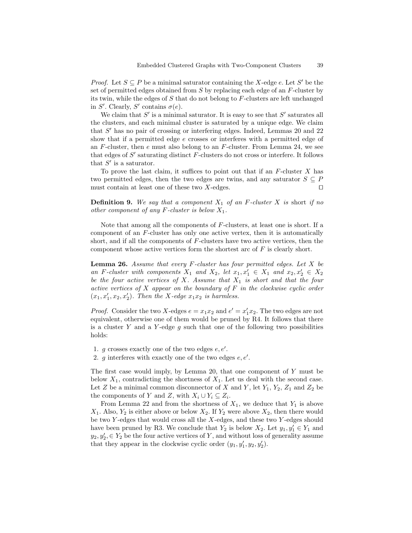*Proof.* Let  $S \subseteq P$  be a minimal saturator containing the X-edge e. Let S' be the set of permitted edges obtained from  $S$  by replacing each edge of an  $F$ -cluster by its twin, while the edges of S that do not belong to F-clusters are left unchanged in S'. Clearly, S' contains  $\sigma(e)$ .

We claim that  $S'$  is a minimal saturator. It is easy to see that  $S'$  saturates all the clusters, and each minimal cluster is saturated by a unique edge. We claim that  $S'$  has no pair of crossing or interfering edges. Indeed, Lemmas 20 and 22 show that if a permitted edge e crosses or interferes with a permitted edge of an  $F$ -cluster, then  $e$  must also belong to an  $F$ -cluster. From Lemma 24, we see that edges of  $S'$  saturating distinct F-clusters do not cross or interfere. It follows that  $S'$  is a saturator.

To prove the last claim, it suffices to point out that if an  $F$ -cluster X has two permitted edges, then the two edges are twins, and any saturator  $S \subseteq P$ must contain at least one of these two  $X$ -edges.  $\Box$ 

**Definition 9.** We say that a component  $X_1$  of an F-cluster X is short if no other component of any F-cluster is below  $X_1$ .

Note that among all the components of F-clusters, at least one is short. If a component of an F-cluster has only one active vertex, then it is automatically short, and if all the components of  $F$ -clusters have two active vertices, then the component whose active vertices form the shortest arc of F is clearly short.

**Lemma 26.** Assume that every  $F$ -cluster has four permitted edges. Let  $X$  be an F-cluster with components  $X_1$  and  $X_2$ , let  $x_1, x_1' \in X_1$  and  $x_2, x_2' \in X_2$ be the four active vertices of X. Assume that  $X_1$  is short and that the four active vertices of  $X$  appear on the boundary of  $F$  in the clockwise cyclic order  $(x_1, x_1', x_2, x_2')$ . Then the X-edge  $x_1x_2$  is harmless.

*Proof.* Consider the two X-edges  $e = x_1 x_2$  and  $e' = x'_1 x_2$ . The two edges are not equivalent, otherwise one of them would be pruned by R4. It follows that there is a cluster Y and a Y-edge q such that one of the following two possibilities holds:

1. g crosses exactly one of the two edges  $e, e'$ .

2. g interferes with exactly one of the two edges  $e, e'$ .

The first case would imply, by Lemma 20, that one component of  $Y$  must be below  $X_1$ , contradicting the shortness of  $X_1$ . Let us deal with the second case. Let Z be a minimal common disconnector of X and Y, let  $Y_1, Y_2, Z_1$  and  $Z_2$  be the components of Y and Z, with  $X_i \cup Y_i \subseteq Z_i$ .

From Lemma 22 and from the shortness of  $X_1$ , we deduce that  $Y_1$  is above  $X_1$ . Also,  $Y_2$  is either above or below  $X_2$ . If  $Y_2$  were above  $X_2$ , then there would be two Y-edges that would cross all the  $X$ -edges, and these two Y-edges should have been pruned by R3. We conclude that  $Y_2$  is below  $X_2$ . Let  $y_1, y_1' \in Y_1$  and  $y_2, y'_2, \in Y_2$  be the four active vertices of Y, and without loss of generality assume that they appear in the clockwise cyclic order  $(y_1, y'_1, y_2, y'_2)$ .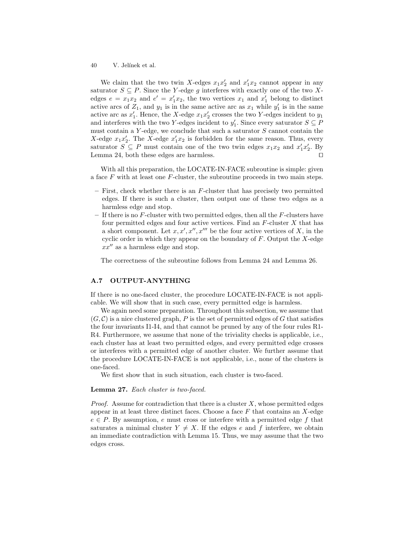We claim that the two twin X-edges  $x_1x_2'$  and  $x_1'x_2$  cannot appear in any saturator  $S \subseteq P$ . Since the Y-edge g interferes with exactly one of the two Xedges  $e = x_1 x_2$  and  $e' = x'_1 x_2$ , the two vertices  $x_1$  and  $x'_1$  belong to distinct active arcs of  $Z_1$ , and  $y_1$  is in the same active arc as  $x_1$  while  $y'_1$  is in the same active arc as  $x'_1$ . Hence, the X-edge  $x_1x'_2$  crosses the two Y-edges incident to  $y_1$ and interferes with the two Y-edges incident to  $y'_1$ . Since every saturator  $S \subseteq P$ must contain a  $Y$ -edge, we conclude that such a saturator  $S$  cannot contain the X-edge  $x_1x_2'$ . The X-edge  $x_1'x_2$  is forbidden for the same reason. Thus, every saturator  $S \subseteq P$  must contain one of the two twin edges  $x_1x_2$  and  $x'_1x'_2$ . By Lemma 24, both these edges are harmless.  $\square$ 

With all this preparation, the LOCATE-IN-FACE subroutine is simple: given a face F with at least one F-cluster, the subroutine proceeds in two main steps.

- $-$  First, check whether there is an  $F$ -cluster that has precisely two permitted edges. If there is such a cluster, then output one of these two edges as a harmless edge and stop.
- $-$  If there is no F-cluster with two permitted edges, then all the F-clusters have four permitted edges and four active vertices. Find an  $F$ -cluster  $X$  that has a short component. Let  $x, x', x'', x'''$  be the four active vertices of X, in the cyclic order in which they appear on the boundary of  $F$ . Output the  $X$ -edge  $xx''$  as a harmless edge and stop.

The correctness of the subroutine follows from Lemma 24 and Lemma 26.

## A.7 OUTPUT-ANYTHING

If there is no one-faced cluster, the procedure LOCATE-IN-FACE is not applicable. We will show that in such case, every permitted edge is harmless.

We again need some preparation. Throughout this subsection, we assume that  $(G, \mathcal{C})$  is a nice clustered graph, P is the set of permitted edges of G that satisfies the four invariants I1-I4, and that cannot be pruned by any of the four rules R1- R4. Furthermore, we assume that none of the triviality checks is applicable, i.e., each cluster has at least two permitted edges, and every permitted edge crosses or interferes with a permitted edge of another cluster. We further assume that the procedure LOCATE-IN-FACE is not applicable, i.e., none of the clusters is one-faced.

We first show that in such situation, each cluster is two-faced.

#### Lemma 27. Each cluster is two-faced.

*Proof.* Assume for contradiction that there is a cluster  $X$ , whose permitted edges appear in at least three distinct faces. Choose a face  $F$  that contains an  $X$ -edge  $e \in P$ . By assumption, e must cross or interfere with a permitted edge f that saturates a minimal cluster  $Y \neq X$ . If the edges e and f interfere, we obtain an immediate contradiction with Lemma 15. Thus, we may assume that the two edges cross.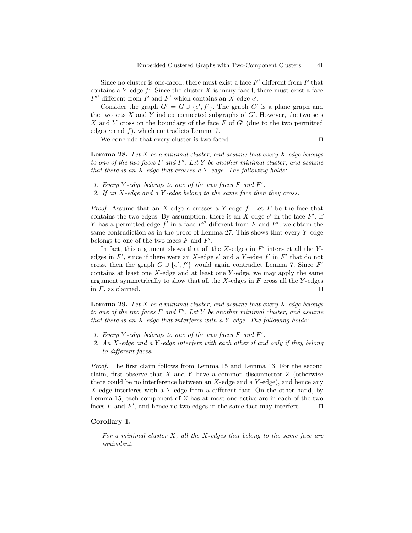Since no cluster is one-faced, there must exist a face  $F'$  different from  $F$  that contains a Y-edge  $f'$ . Since the cluster X is many-faced, there must exist a face  $F''$  different from F and F' which contains an X-edge  $e'$ .

Consider the graph  $G' = G \cup \{e', f'\}$ . The graph  $G'$  is a plane graph and the two sets X and Y induce connected subgraphs of  $G'$ . However, the two sets X and Y cross on the boundary of the face  $F$  of  $G'$  (due to the two permitted edges  $e$  and  $f$ ), which contradicts Lemma 7.

We conclude that every cluster is two-faced.  $\Box$ 

**Lemma 28.** Let  $X$  be a minimal cluster, and assume that every  $X$ -edge belongs to one of the two faces  $F$  and  $F'$ . Let  $Y$  be another minimal cluster, and assume that there is an  $X$ -edge that crosses a  $Y$ -edge. The following holds:

- 1. Every Y-edge belongs to one of the two faces  $F$  and  $F'$ .
- 2. If an X-edge and a Y -edge belong to the same face then they cross.

*Proof.* Assume that an X-edge e crosses a Y-edge f. Let F be the face that contains the two edges. By assumption, there is an X-edge  $e'$  in the face  $F'$ . If Y has a permitted edge  $f'$  in a face  $F''$  different from F and F', we obtain the same contradiction as in the proof of Lemma 27. This shows that every Y -edge belongs to one of the two faces  $F$  and  $F'$ .

In fact, this argument shows that all the  $X$ -edges in  $F'$  intersect all the  $Y$ edges in  $F'$ , since if there were an X-edge  $e'$  and a Y-edge  $f'$  in  $F'$  that do not cross, then the graph  $G \cup \{e', f'\}$  would again contradict Lemma 7. Since  $F'$ contains at least one  $X$ -edge and at least one  $Y$ -edge, we may apply the same argument symmetrically to show that all the  $X$ -edges in  $F$  cross all the Y-edges in  $F$ , as claimed.  $\Box$ 

**Lemma 29.** Let X be a minimal cluster, and assume that every X-edge belongs to one of the two faces  $F$  and  $F'$ . Let  $Y$  be another minimal cluster, and assume that there is an  $X$ -edge that interferes with a  $Y$ -edge. The following holds:

- 1. Every Y-edge belongs to one of the two faces  $F$  and  $F'$ .
- 2. An X-edge and a Y-edge interfere with each other if and only if they belong to different faces.

Proof. The first claim follows from Lemma 15 and Lemma 13. For the second claim, first observe that  $X$  and  $Y$  have a common disconnector  $Z$  (otherwise there could be no interference between an  $X$ -edge and a  $Y$ -edge), and hence any  $X$ -edge interferes with a Y-edge from a different face. On the other hand, by Lemma 15, each component of  $Z$  has at most one active arc in each of the two faces F and F', and hence no two edges in the same face may interfere.  $\square$ 

### Corollary 1.

 $-$  For a minimal cluster X, all the X-edges that belong to the same face are equivalent.